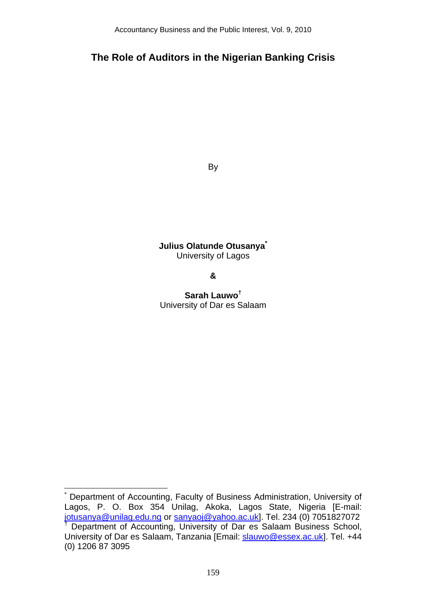# **The Role of Auditors in the Nigerian Banking Crisis**

By

**Julius Olatunde Otusanya\*** University of Lagos

**&** 

**Sarah Lauwo†** University of Dar es Salaam

<sup>\*</sup> Department of Accounting, Faculty of Business Administration, University of Lagos, P. O. Box 354 Unilag, Akoka, Lagos State, Nigeria [E-mail: jotusanya@unilag.edu.ng or sanyaoj@yahoo.ac.uk]. Tel. 234 (0) 7051827072 <sup>†</sup> Department of Accounting, University of Dar es Salaam Business School, University of Dar es Salaam, Tanzania [Email: slauwo@essex.ac.uk]. Tel. +44 (0) 1206 87 3095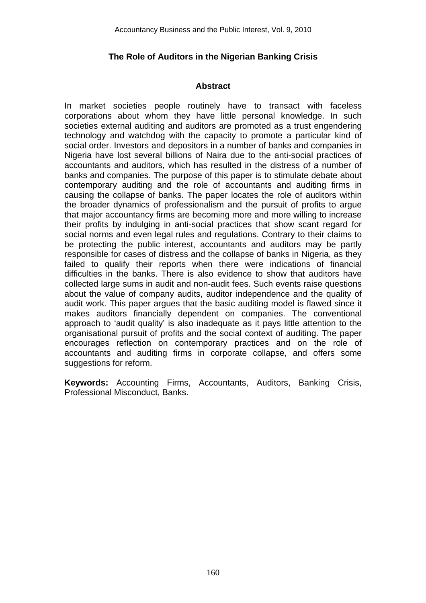## **The Role of Auditors in the Nigerian Banking Crisis**

## **Abstract**

In market societies people routinely have to transact with faceless corporations about whom they have little personal knowledge. In such societies external auditing and auditors are promoted as a trust engendering technology and watchdog with the capacity to promote a particular kind of social order. Investors and depositors in a number of banks and companies in Nigeria have lost several billions of Naira due to the anti-social practices of accountants and auditors, which has resulted in the distress of a number of banks and companies. The purpose of this paper is to stimulate debate about contemporary auditing and the role of accountants and auditing firms in causing the collapse of banks. The paper locates the role of auditors within the broader dynamics of professionalism and the pursuit of profits to argue that major accountancy firms are becoming more and more willing to increase their profits by indulging in anti-social practices that show scant regard for social norms and even legal rules and regulations. Contrary to their claims to be protecting the public interest, accountants and auditors may be partly responsible for cases of distress and the collapse of banks in Nigeria, as they failed to qualify their reports when there were indications of financial difficulties in the banks. There is also evidence to show that auditors have collected large sums in audit and non-audit fees. Such events raise questions about the value of company audits, auditor independence and the quality of audit work. This paper argues that the basic auditing model is flawed since it makes auditors financially dependent on companies. The conventional approach to 'audit quality' is also inadequate as it pays little attention to the organisational pursuit of profits and the social context of auditing. The paper encourages reflection on contemporary practices and on the role of accountants and auditing firms in corporate collapse, and offers some suggestions for reform.

**Keywords:** Accounting Firms, Accountants, Auditors, Banking Crisis, Professional Misconduct, Banks.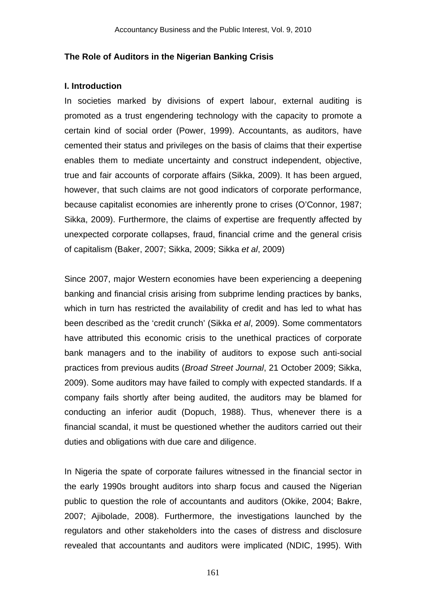## **The Role of Auditors in the Nigerian Banking Crisis**

#### **I. Introduction**

In societies marked by divisions of expert labour, external auditing is promoted as a trust engendering technology with the capacity to promote a certain kind of social order (Power, 1999). Accountants, as auditors, have cemented their status and privileges on the basis of claims that their expertise enables them to mediate uncertainty and construct independent, objective, true and fair accounts of corporate affairs (Sikka, 2009). It has been argued, however, that such claims are not good indicators of corporate performance, because capitalist economies are inherently prone to crises (O'Connor, 1987; Sikka, 2009). Furthermore, the claims of expertise are frequently affected by unexpected corporate collapses, fraud, financial crime and the general crisis of capitalism (Baker, 2007; Sikka, 2009; Sikka *et al*, 2009)

Since 2007, major Western economies have been experiencing a deepening banking and financial crisis arising from subprime lending practices by banks, which in turn has restricted the availability of credit and has led to what has been described as the 'credit crunch' (Sikka *et al*, 2009). Some commentators have attributed this economic crisis to the unethical practices of corporate bank managers and to the inability of auditors to expose such anti-social practices from previous audits (*Broad Street Journal*, 21 October 2009; Sikka, 2009). Some auditors may have failed to comply with expected standards. If a company fails shortly after being audited, the auditors may be blamed for conducting an inferior audit (Dopuch, 1988). Thus, whenever there is a financial scandal, it must be questioned whether the auditors carried out their duties and obligations with due care and diligence.

In Nigeria the spate of corporate failures witnessed in the financial sector in the early 1990s brought auditors into sharp focus and caused the Nigerian public to question the role of accountants and auditors (Okike, 2004; Bakre, 2007; Ajibolade, 2008). Furthermore, the investigations launched by the regulators and other stakeholders into the cases of distress and disclosure revealed that accountants and auditors were implicated (NDIC, 1995). With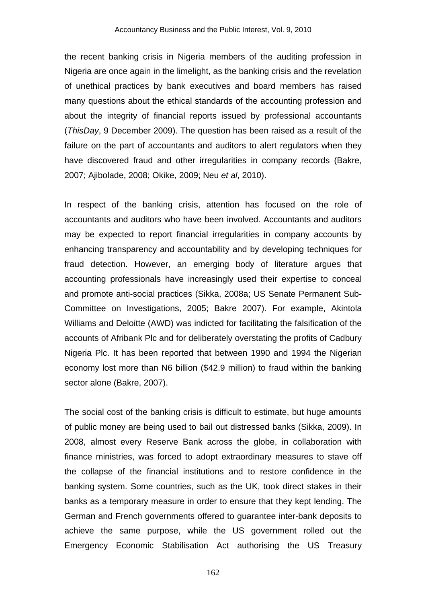the recent banking crisis in Nigeria members of the auditing profession in Nigeria are once again in the limelight, as the banking crisis and the revelation of unethical practices by bank executives and board members has raised many questions about the ethical standards of the accounting profession and about the integrity of financial reports issued by professional accountants (*ThisDay*, 9 December 2009). The question has been raised as a result of the failure on the part of accountants and auditors to alert regulators when they have discovered fraud and other irregularities in company records (Bakre, 2007; Ajibolade, 2008; Okike, 2009; Neu *et al*, 2010).

In respect of the banking crisis, attention has focused on the role of accountants and auditors who have been involved. Accountants and auditors may be expected to report financial irregularities in company accounts by enhancing transparency and accountability and by developing techniques for fraud detection. However, an emerging body of literature argues that accounting professionals have increasingly used their expertise to conceal and promote anti-social practices (Sikka, 2008a; US Senate Permanent Sub-Committee on Investigations, 2005; Bakre 2007). For example, Akintola Williams and Deloitte (AWD) was indicted for facilitating the falsification of the accounts of Afribank Plc and for deliberately overstating the profits of Cadbury Nigeria Plc. It has been reported that between 1990 and 1994 the Nigerian economy lost more than N6 billion (\$42.9 million) to fraud within the banking sector alone (Bakre, 2007).

The social cost of the banking crisis is difficult to estimate, but huge amounts of public money are being used to bail out distressed banks (Sikka, 2009). In 2008, almost every Reserve Bank across the globe, in collaboration with finance ministries, was forced to adopt extraordinary measures to stave off the collapse of the financial institutions and to restore confidence in the banking system. Some countries, such as the UK, took direct stakes in their banks as a temporary measure in order to ensure that they kept lending. The German and French governments offered to guarantee inter-bank deposits to achieve the same purpose, while the US government rolled out the Emergency Economic Stabilisation Act authorising the US Treasury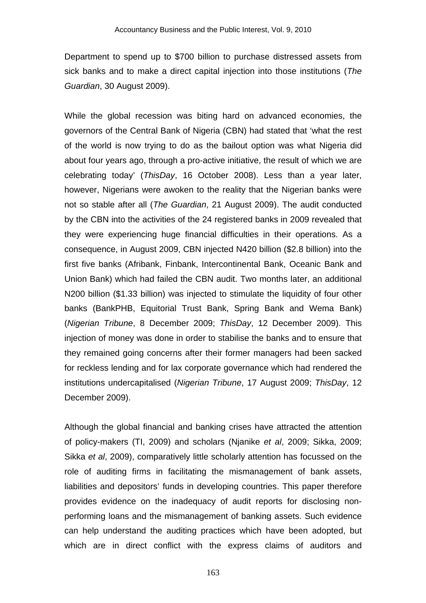Department to spend up to \$700 billion to purchase distressed assets from sick banks and to make a direct capital injection into those institutions (*The Guardian*, 30 August 2009).

While the global recession was biting hard on advanced economies, the governors of the Central Bank of Nigeria (CBN) had stated that 'what the rest of the world is now trying to do as the bailout option was what Nigeria did about four years ago, through a pro-active initiative, the result of which we are celebrating today' (*ThisDay*, 16 October 2008). Less than a year later, however, Nigerians were awoken to the reality that the Nigerian banks were not so stable after all (*The Guardian*, 21 August 2009). The audit conducted by the CBN into the activities of the 24 registered banks in 2009 revealed that they were experiencing huge financial difficulties in their operations. As a consequence, in August 2009, CBN injected N420 billion (\$2.8 billion) into the first five banks (Afribank, Finbank, Intercontinental Bank, Oceanic Bank and Union Bank) which had failed the CBN audit. Two months later, an additional N200 billion (\$1.33 billion) was injected to stimulate the liquidity of four other banks (BankPHB, Equitorial Trust Bank, Spring Bank and Wema Bank) (*Nigerian Tribune*, 8 December 2009; *ThisDay*, 12 December 2009). This injection of money was done in order to stabilise the banks and to ensure that they remained going concerns after their former managers had been sacked for reckless lending and for lax corporate governance which had rendered the institutions undercapitalised (*Nigerian Tribune*, 17 August 2009; *ThisDay*, 12 December 2009).

Although the global financial and banking crises have attracted the attention of policy-makers (TI, 2009) and scholars (Njanike *et al*, 2009; Sikka, 2009; Sikka *et al*, 2009), comparatively little scholarly attention has focussed on the role of auditing firms in facilitating the mismanagement of bank assets, liabilities and depositors' funds in developing countries. This paper therefore provides evidence on the inadequacy of audit reports for disclosing nonperforming loans and the mismanagement of banking assets. Such evidence can help understand the auditing practices which have been adopted, but which are in direct conflict with the express claims of auditors and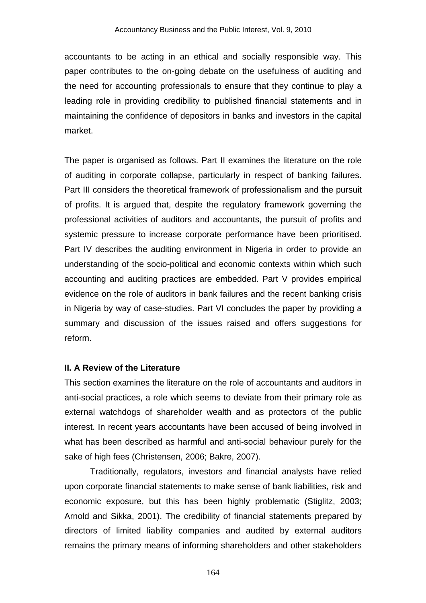accountants to be acting in an ethical and socially responsible way. This paper contributes to the on-going debate on the usefulness of auditing and the need for accounting professionals to ensure that they continue to play a leading role in providing credibility to published financial statements and in maintaining the confidence of depositors in banks and investors in the capital market.

The paper is organised as follows. Part II examines the literature on the role of auditing in corporate collapse, particularly in respect of banking failures. Part III considers the theoretical framework of professionalism and the pursuit of profits. It is argued that, despite the regulatory framework governing the professional activities of auditors and accountants, the pursuit of profits and systemic pressure to increase corporate performance have been prioritised. Part IV describes the auditing environment in Nigeria in order to provide an understanding of the socio-political and economic contexts within which such accounting and auditing practices are embedded. Part V provides empirical evidence on the role of auditors in bank failures and the recent banking crisis in Nigeria by way of case-studies. Part VI concludes the paper by providing a summary and discussion of the issues raised and offers suggestions for reform.

#### **II. A Review of the Literature**

This section examines the literature on the role of accountants and auditors in anti-social practices, a role which seems to deviate from their primary role as external watchdogs of shareholder wealth and as protectors of the public interest. In recent years accountants have been accused of being involved in what has been described as harmful and anti-social behaviour purely for the sake of high fees (Christensen, 2006; Bakre, 2007).

Traditionally, regulators, investors and financial analysts have relied upon corporate financial statements to make sense of bank liabilities, risk and economic exposure, but this has been highly problematic (Stiglitz, 2003; Arnold and Sikka, 2001). The credibility of financial statements prepared by directors of limited liability companies and audited by external auditors remains the primary means of informing shareholders and other stakeholders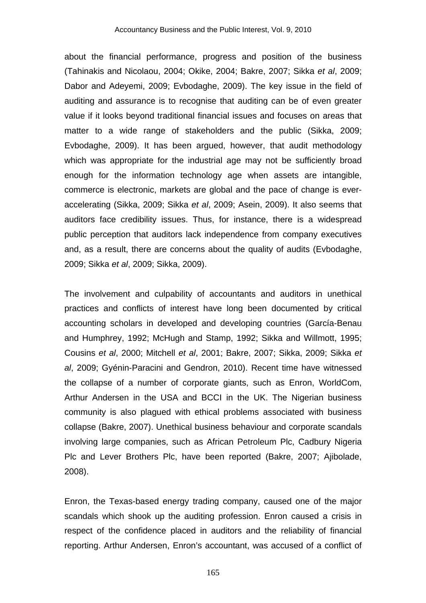about the financial performance, progress and position of the business (Tahinakis and Nicolaou, 2004; Okike, 2004; Bakre, 2007; Sikka *et al*, 2009; Dabor and Adeyemi, 2009; Evbodaghe, 2009). The key issue in the field of auditing and assurance is to recognise that auditing can be of even greater value if it looks beyond traditional financial issues and focuses on areas that matter to a wide range of stakeholders and the public (Sikka, 2009; Evbodaghe, 2009). It has been argued, however, that audit methodology which was appropriate for the industrial age may not be sufficiently broad enough for the information technology age when assets are intangible, commerce is electronic, markets are global and the pace of change is everaccelerating (Sikka, 2009; Sikka *et al*, 2009; Asein, 2009). It also seems that auditors face credibility issues. Thus, for instance, there is a widespread public perception that auditors lack independence from company executives and, as a result, there are concerns about the quality of audits (Evbodaghe, 2009; Sikka *et al*, 2009; Sikka, 2009).

The involvement and culpability of accountants and auditors in unethical practices and conflicts of interest have long been documented by critical accounting scholars in developed and developing countries (García-Benau and Humphrey, 1992; McHugh and Stamp, 1992; Sikka and Willmott, 1995; Cousins *et al*, 2000; Mitchell *et al*, 2001; Bakre, 2007; Sikka, 2009; Sikka *et al*, 2009; Gyénin-Paracini and Gendron, 2010). Recent time have witnessed the collapse of a number of corporate giants, such as Enron, WorldCom, Arthur Andersen in the USA and BCCI in the UK. The Nigerian business community is also plagued with ethical problems associated with business collapse (Bakre, 2007). Unethical business behaviour and corporate scandals involving large companies, such as African Petroleum Plc, Cadbury Nigeria Plc and Lever Brothers Plc, have been reported (Bakre, 2007; Ajibolade, 2008).

Enron, the Texas-based energy trading company, caused one of the major scandals which shook up the auditing profession. Enron caused a crisis in respect of the confidence placed in auditors and the reliability of financial reporting. Arthur Andersen, Enron's accountant, was accused of a conflict of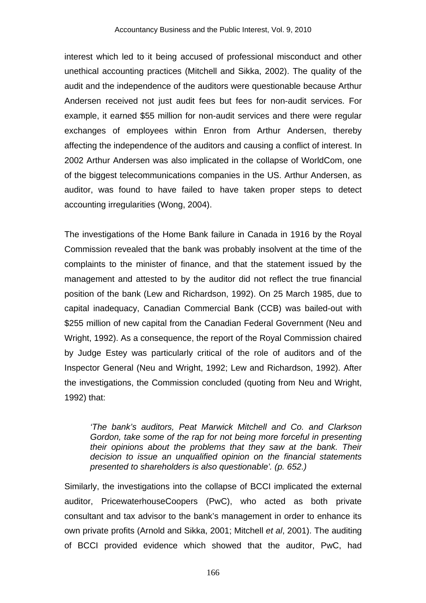interest which led to it being accused of professional misconduct and other unethical accounting practices (Mitchell and Sikka, 2002). The quality of the audit and the independence of the auditors were questionable because Arthur Andersen received not just audit fees but fees for non-audit services. For example, it earned \$55 million for non-audit services and there were regular exchanges of employees within Enron from Arthur Andersen, thereby affecting the independence of the auditors and causing a conflict of interest. In 2002 Arthur Andersen was also implicated in the collapse of WorldCom, one of the biggest telecommunications companies in the US. Arthur Andersen, as auditor, was found to have failed to have taken proper steps to detect accounting irregularities (Wong, 2004).

The investigations of the Home Bank failure in Canada in 1916 by the Royal Commission revealed that the bank was probably insolvent at the time of the complaints to the minister of finance, and that the statement issued by the management and attested to by the auditor did not reflect the true financial position of the bank (Lew and Richardson, 1992). On 25 March 1985, due to capital inadequacy, Canadian Commercial Bank (CCB) was bailed-out with \$255 million of new capital from the Canadian Federal Government (Neu and Wright, 1992). As a consequence, the report of the Royal Commission chaired by Judge Estey was particularly critical of the role of auditors and of the Inspector General (Neu and Wright, 1992; Lew and Richardson, 1992). After the investigations, the Commission concluded (quoting from Neu and Wright, 1992) that:

*'The bank's auditors, Peat Marwick Mitchell and Co. and Clarkson Gordon, take some of the rap for not being more forceful in presenting their opinions about the problems that they saw at the bank. Their decision to issue an unqualified opinion on the financial statements presented to shareholders is also questionable'. (p. 652.)* 

Similarly, the investigations into the collapse of BCCI implicated the external auditor, PricewaterhouseCoopers (PwC), who acted as both private consultant and tax advisor to the bank's management in order to enhance its own private profits (Arnold and Sikka, 2001; Mitchell *et al*, 2001). The auditing of BCCI provided evidence which showed that the auditor, PwC, had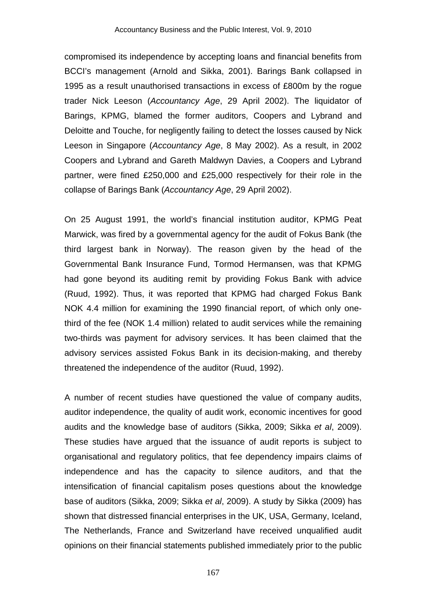compromised its independence by accepting loans and financial benefits from BCCI's management (Arnold and Sikka, 2001). Barings Bank collapsed in 1995 as a result unauthorised transactions in excess of £800m by the rogue trader Nick Leeson (*Accountancy Age*, 29 April 2002). The liquidator of Barings, KPMG, blamed the former auditors, Coopers and Lybrand and Deloitte and Touche, for negligently failing to detect the losses caused by Nick Leeson in Singapore (*Accountancy Age*, 8 May 2002). As a result, in 2002 Coopers and Lybrand and Gareth Maldwyn Davies, a Coopers and Lybrand partner, were fined £250,000 and £25,000 respectively for their role in the collapse of Barings Bank (*Accountancy Age*, 29 April 2002).

On 25 August 1991, the world's financial institution auditor, KPMG Peat Marwick, was fired by a governmental agency for the audit of Fokus Bank (the third largest bank in Norway). The reason given by the head of the Governmental Bank Insurance Fund, Tormod Hermansen, was that KPMG had gone beyond its auditing remit by providing Fokus Bank with advice (Ruud, 1992). Thus, it was reported that KPMG had charged Fokus Bank NOK 4.4 million for examining the 1990 financial report, of which only onethird of the fee (NOK 1.4 million) related to audit services while the remaining two-thirds was payment for advisory services. It has been claimed that the advisory services assisted Fokus Bank in its decision-making, and thereby threatened the independence of the auditor (Ruud, 1992).

A number of recent studies have questioned the value of company audits, auditor independence, the quality of audit work, economic incentives for good audits and the knowledge base of auditors (Sikka, 2009; Sikka *et al*, 2009). These studies have argued that the issuance of audit reports is subject to organisational and regulatory politics, that fee dependency impairs claims of independence and has the capacity to silence auditors, and that the intensification of financial capitalism poses questions about the knowledge base of auditors (Sikka, 2009; Sikka *et al*, 2009). A study by Sikka (2009) has shown that distressed financial enterprises in the UK, USA, Germany, Iceland, The Netherlands, France and Switzerland have received unqualified audit opinions on their financial statements published immediately prior to the public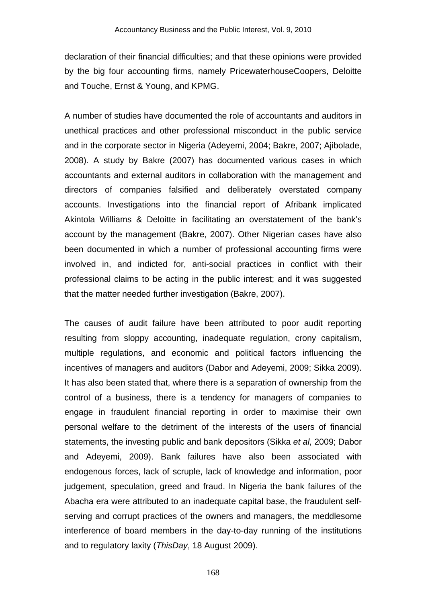declaration of their financial difficulties; and that these opinions were provided by the big four accounting firms, namely PricewaterhouseCoopers, Deloitte and Touche, Ernst & Young, and KPMG.

A number of studies have documented the role of accountants and auditors in unethical practices and other professional misconduct in the public service and in the corporate sector in Nigeria (Adeyemi, 2004; Bakre, 2007; Ajibolade, 2008). A study by Bakre (2007) has documented various cases in which accountants and external auditors in collaboration with the management and directors of companies falsified and deliberately overstated company accounts. Investigations into the financial report of Afribank implicated Akintola Williams & Deloitte in facilitating an overstatement of the bank's account by the management (Bakre, 2007). Other Nigerian cases have also been documented in which a number of professional accounting firms were involved in, and indicted for, anti-social practices in conflict with their professional claims to be acting in the public interest; and it was suggested that the matter needed further investigation (Bakre, 2007).

The causes of audit failure have been attributed to poor audit reporting resulting from sloppy accounting, inadequate regulation, crony capitalism, multiple regulations, and economic and political factors influencing the incentives of managers and auditors (Dabor and Adeyemi, 2009; Sikka 2009). It has also been stated that, where there is a separation of ownership from the control of a business, there is a tendency for managers of companies to engage in fraudulent financial reporting in order to maximise their own personal welfare to the detriment of the interests of the users of financial statements, the investing public and bank depositors (Sikka *et al*, 2009; Dabor and Adeyemi, 2009). Bank failures have also been associated with endogenous forces, lack of scruple, lack of knowledge and information, poor judgement, speculation, greed and fraud. In Nigeria the bank failures of the Abacha era were attributed to an inadequate capital base, the fraudulent selfserving and corrupt practices of the owners and managers, the meddlesome interference of board members in the day-to-day running of the institutions and to regulatory laxity (*ThisDay*, 18 August 2009).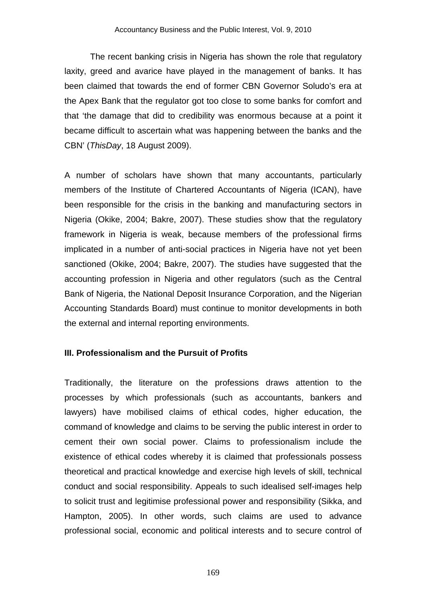The recent banking crisis in Nigeria has shown the role that regulatory laxity, greed and avarice have played in the management of banks. It has been claimed that towards the end of former CBN Governor Soludo's era at the Apex Bank that the regulator got too close to some banks for comfort and that 'the damage that did to credibility was enormous because at a point it became difficult to ascertain what was happening between the banks and the CBN' (*ThisDay*, 18 August 2009).

A number of scholars have shown that many accountants, particularly members of the Institute of Chartered Accountants of Nigeria (ICAN), have been responsible for the crisis in the banking and manufacturing sectors in Nigeria (Okike, 2004; Bakre, 2007). These studies show that the regulatory framework in Nigeria is weak, because members of the professional firms implicated in a number of anti-social practices in Nigeria have not yet been sanctioned (Okike, 2004; Bakre, 2007). The studies have suggested that the accounting profession in Nigeria and other regulators (such as the Central Bank of Nigeria, the National Deposit Insurance Corporation, and the Nigerian Accounting Standards Board) must continue to monitor developments in both the external and internal reporting environments.

# **III. Professionalism and the Pursuit of Profits**

Traditionally, the literature on the professions draws attention to the processes by which professionals (such as accountants, bankers and lawyers) have mobilised claims of ethical codes, higher education, the command of knowledge and claims to be serving the public interest in order to cement their own social power. Claims to professionalism include the existence of ethical codes whereby it is claimed that professionals possess theoretical and practical knowledge and exercise high levels of skill, technical conduct and social responsibility. Appeals to such idealised self-images help to solicit trust and legitimise professional power and responsibility (Sikka, and Hampton, 2005). In other words, such claims are used to advance professional social, economic and political interests and to secure control of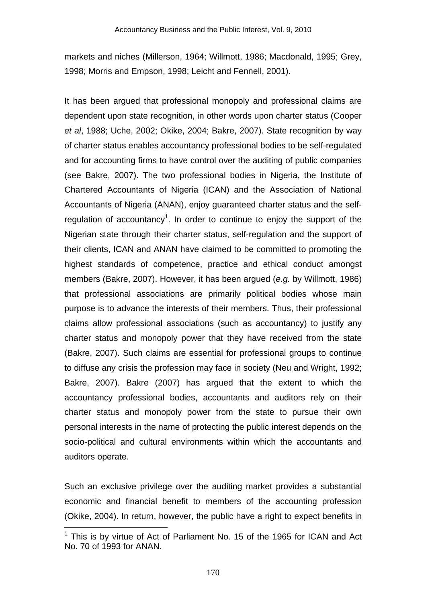markets and niches (Millerson, 1964; Willmott, 1986; Macdonald, 1995; Grey, 1998; Morris and Empson, 1998; Leicht and Fennell, 2001).

It has been argued that professional monopoly and professional claims are dependent upon state recognition, in other words upon charter status (Cooper *et al*, 1988; Uche, 2002; Okike, 2004; Bakre, 2007). State recognition by way of charter status enables accountancy professional bodies to be self-regulated and for accounting firms to have control over the auditing of public companies (see Bakre, 2007). The two professional bodies in Nigeria, the Institute of Chartered Accountants of Nigeria (ICAN) and the Association of National Accountants of Nigeria (ANAN), enjoy guaranteed charter status and the selfregulation of accountancy<sup>1</sup>. In order to continue to enjoy the support of the Nigerian state through their charter status, self-regulation and the support of their clients, ICAN and ANAN have claimed to be committed to promoting the highest standards of competence, practice and ethical conduct amongst members (Bakre, 2007). However, it has been argued (*e.g.* by Willmott, 1986) that professional associations are primarily political bodies whose main purpose is to advance the interests of their members. Thus, their professional claims allow professional associations (such as accountancy) to justify any charter status and monopoly power that they have received from the state (Bakre, 2007). Such claims are essential for professional groups to continue to diffuse any crisis the profession may face in society (Neu and Wright, 1992; Bakre, 2007). Bakre (2007) has argued that the extent to which the accountancy professional bodies, accountants and auditors rely on their charter status and monopoly power from the state to pursue their own personal interests in the name of protecting the public interest depends on the socio-political and cultural environments within which the accountants and auditors operate.

Such an exclusive privilege over the auditing market provides a substantial economic and financial benefit to members of the accounting profession (Okike, 2004). In return, however, the public have a right to expect benefits in

 $1$  This is by virtue of Act of Parliament No. 15 of the 1965 for ICAN and Act No. 70 of 1993 for ANAN.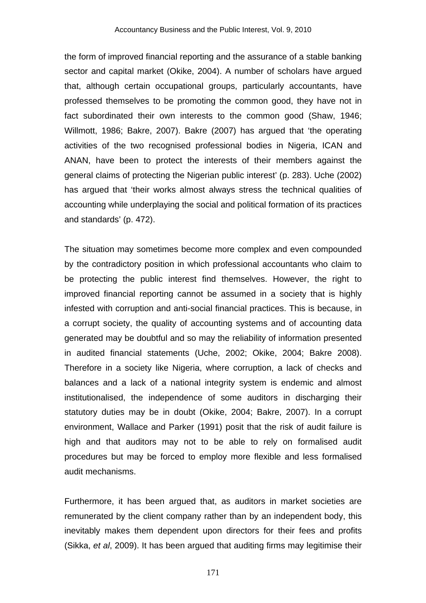the form of improved financial reporting and the assurance of a stable banking sector and capital market (Okike, 2004). A number of scholars have argued that, although certain occupational groups, particularly accountants, have professed themselves to be promoting the common good, they have not in fact subordinated their own interests to the common good (Shaw, 1946; Willmott, 1986; Bakre, 2007). Bakre (2007) has argued that 'the operating activities of the two recognised professional bodies in Nigeria, ICAN and ANAN, have been to protect the interests of their members against the general claims of protecting the Nigerian public interest' (p. 283). Uche (2002) has argued that 'their works almost always stress the technical qualities of accounting while underplaying the social and political formation of its practices and standards' (p. 472).

The situation may sometimes become more complex and even compounded by the contradictory position in which professional accountants who claim to be protecting the public interest find themselves. However, the right to improved financial reporting cannot be assumed in a society that is highly infested with corruption and anti-social financial practices. This is because, in a corrupt society, the quality of accounting systems and of accounting data generated may be doubtful and so may the reliability of information presented in audited financial statements (Uche, 2002; Okike, 2004; Bakre 2008). Therefore in a society like Nigeria, where corruption, a lack of checks and balances and a lack of a national integrity system is endemic and almost institutionalised, the independence of some auditors in discharging their statutory duties may be in doubt (Okike, 2004; Bakre, 2007). In a corrupt environment, Wallace and Parker (1991) posit that the risk of audit failure is high and that auditors may not to be able to rely on formalised audit procedures but may be forced to employ more flexible and less formalised audit mechanisms.

Furthermore, it has been argued that, as auditors in market societies are remunerated by the client company rather than by an independent body, this inevitably makes them dependent upon directors for their fees and profits (Sikka, *et al*, 2009). It has been argued that auditing firms may legitimise their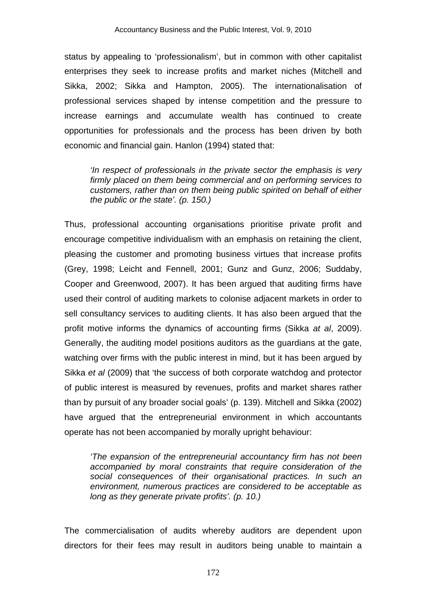status by appealing to 'professionalism', but in common with other capitalist enterprises they seek to increase profits and market niches (Mitchell and Sikka, 2002; Sikka and Hampton, 2005). The internationalisation of professional services shaped by intense competition and the pressure to increase earnings and accumulate wealth has continued to create opportunities for professionals and the process has been driven by both economic and financial gain. Hanlon (1994) stated that:

*'In respect of professionals in the private sector the emphasis is very firmly placed on them being commercial and on performing services to customers, rather than on them being public spirited on behalf of either the public or the state'. (p. 150.)* 

Thus, professional accounting organisations prioritise private profit and encourage competitive individualism with an emphasis on retaining the client, pleasing the customer and promoting business virtues that increase profits (Grey, 1998; Leicht and Fennell, 2001; Gunz and Gunz, 2006; Suddaby, Cooper and Greenwood, 2007). It has been argued that auditing firms have used their control of auditing markets to colonise adjacent markets in order to sell consultancy services to auditing clients. It has also been argued that the profit motive informs the dynamics of accounting firms (Sikka *at al*, 2009). Generally, the auditing model positions auditors as the guardians at the gate, watching over firms with the public interest in mind, but it has been argued by Sikka *et al* (2009) that 'the success of both corporate watchdog and protector of public interest is measured by revenues, profits and market shares rather than by pursuit of any broader social goals' (p. 139). Mitchell and Sikka (2002) have argued that the entrepreneurial environment in which accountants operate has not been accompanied by morally upright behaviour:

*'The expansion of the entrepreneurial accountancy firm has not been accompanied by moral constraints that require consideration of the social consequences of their organisational practices. In such an environment, numerous practices are considered to be acceptable as long as they generate private profits'. (p. 10.)*

The commercialisation of audits whereby auditors are dependent upon directors for their fees may result in auditors being unable to maintain a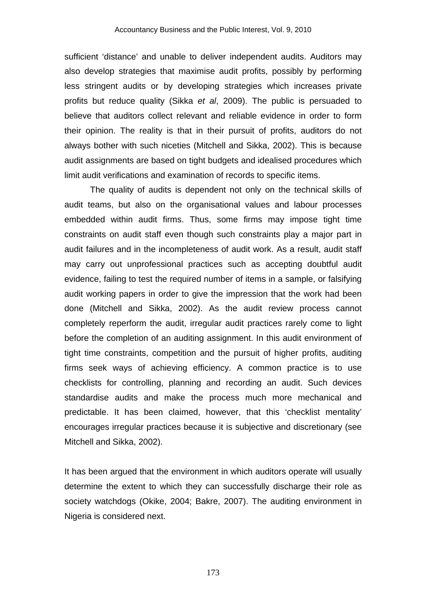sufficient 'distance' and unable to deliver independent audits. Auditors may also develop strategies that maximise audit profits, possibly by performing less stringent audits or by developing strategies which increases private profits but reduce quality (Sikka *et al*, 2009). The public is persuaded to believe that auditors collect relevant and reliable evidence in order to form their opinion. The reality is that in their pursuit of profits, auditors do not always bother with such niceties (Mitchell and Sikka, 2002). This is because audit assignments are based on tight budgets and idealised procedures which limit audit verifications and examination of records to specific items.

The quality of audits is dependent not only on the technical skills of audit teams, but also on the organisational values and labour processes embedded within audit firms. Thus, some firms may impose tight time constraints on audit staff even though such constraints play a major part in audit failures and in the incompleteness of audit work. As a result, audit staff may carry out unprofessional practices such as accepting doubtful audit evidence, failing to test the required number of items in a sample, or falsifying audit working papers in order to give the impression that the work had been done (Mitchell and Sikka, 2002). As the audit review process cannot completely reperform the audit, irregular audit practices rarely come to light before the completion of an auditing assignment. In this audit environment of tight time constraints, competition and the pursuit of higher profits, auditing firms seek ways of achieving efficiency. A common practice is to use checklists for controlling, planning and recording an audit. Such devices standardise audits and make the process much more mechanical and predictable. It has been claimed, however, that this 'checklist mentality' encourages irregular practices because it is subjective and discretionary (see Mitchell and Sikka, 2002).

It has been argued that the environment in which auditors operate will usually determine the extent to which they can successfully discharge their role as society watchdogs (Okike, 2004; Bakre, 2007). The auditing environment in Nigeria is considered next.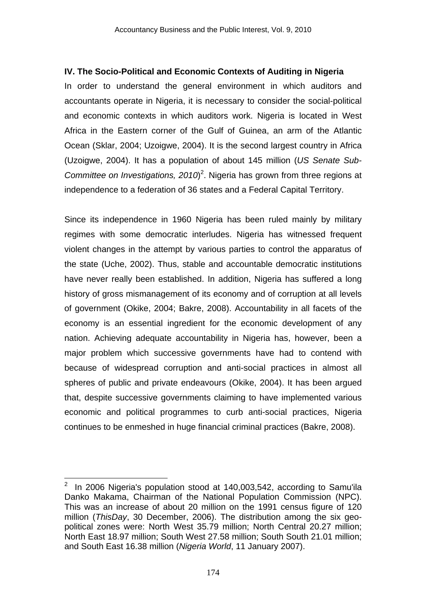# **IV. The Socio-Political and Economic Contexts of Auditing in Nigeria**

In order to understand the general environment in which auditors and accountants operate in Nigeria, it is necessary to consider the social-political and economic contexts in which auditors work. Nigeria is located in West Africa in the Eastern corner of the Gulf of Guinea, an arm of the Atlantic Ocean (Sklar, 2004; Uzoigwe, 2004). It is the second largest country in Africa (Uzoigwe, 2004). It has a population of about 145 million (*US Senate Sub-*Committee on Investigations, 2010)<sup>2</sup>. Nigeria has grown from three regions at independence to a federation of 36 states and a Federal Capital Territory.

Since its independence in 1960 Nigeria has been ruled mainly by military regimes with some democratic interludes. Nigeria has witnessed frequent violent changes in the attempt by various parties to control the apparatus of the state (Uche, 2002). Thus, stable and accountable democratic institutions have never really been established. In addition, Nigeria has suffered a long history of gross mismanagement of its economy and of corruption at all levels of government (Okike, 2004; Bakre, 2008). Accountability in all facets of the economy is an essential ingredient for the economic development of any nation. Achieving adequate accountability in Nigeria has, however, been a major problem which successive governments have had to contend with because of widespread corruption and anti-social practices in almost all spheres of public and private endeavours (Okike, 2004). It has been argued that, despite successive governments claiming to have implemented various economic and political programmes to curb anti-social practices, Nigeria continues to be enmeshed in huge financial criminal practices (Bakre, 2008).

<sup>2</sup> In 2006 Nigeria's population stood at 140,003,542, according to Samu'ila Danko Makama, Chairman of the National Population Commission (NPC). This was an increase of about 20 million on the 1991 census figure of 120 million (*ThisDay*, 30 December, 2006). The distribution among the six geopolitical zones were: North West 35.79 million; North Central 20.27 million; North East 18.97 million; South West 27.58 million; South South 21.01 million; and South East 16.38 million (*Nigeria World*, 11 January 2007).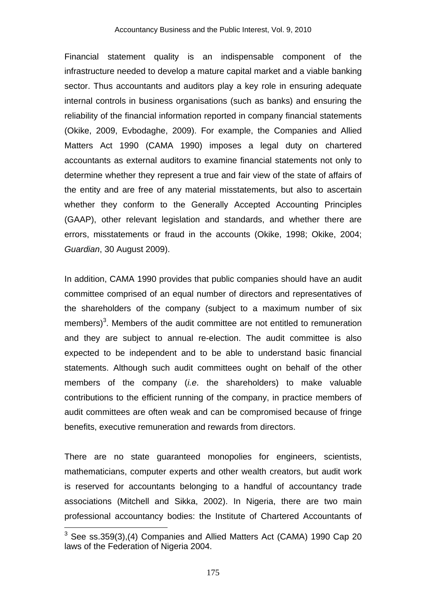Financial statement quality is an indispensable component of the infrastructure needed to develop a mature capital market and a viable banking sector. Thus accountants and auditors play a key role in ensuring adequate internal controls in business organisations (such as banks) and ensuring the reliability of the financial information reported in company financial statements (Okike, 2009, Evbodaghe, 2009). For example, the Companies and Allied Matters Act 1990 (CAMA 1990) imposes a legal duty on chartered accountants as external auditors to examine financial statements not only to determine whether they represent a true and fair view of the state of affairs of the entity and are free of any material misstatements, but also to ascertain whether they conform to the Generally Accepted Accounting Principles (GAAP), other relevant legislation and standards, and whether there are errors, misstatements or fraud in the accounts (Okike, 1998; Okike, 2004; *Guardian*, 30 August 2009).

In addition, CAMA 1990 provides that public companies should have an audit committee comprised of an equal number of directors and representatives of the shareholders of the company (subject to a maximum number of six members)<sup>3</sup>. Members of the audit committee are not entitled to remuneration and they are subject to annual re-election. The audit committee is also expected to be independent and to be able to understand basic financial statements. Although such audit committees ought on behalf of the other members of the company (*i.e*. the shareholders) to make valuable contributions to the efficient running of the company, in practice members of audit committees are often weak and can be compromised because of fringe benefits, executive remuneration and rewards from directors.

There are no state guaranteed monopolies for engineers, scientists, mathematicians, computer experts and other wealth creators, but audit work is reserved for accountants belonging to a handful of accountancy trade associations (Mitchell and Sikka, 2002). In Nigeria, there are two main professional accountancy bodies: the Institute of Chartered Accountants of

 $3$  See ss.359(3),(4) Companies and Allied Matters Act (CAMA) 1990 Cap 20 laws of the Federation of Nigeria 2004.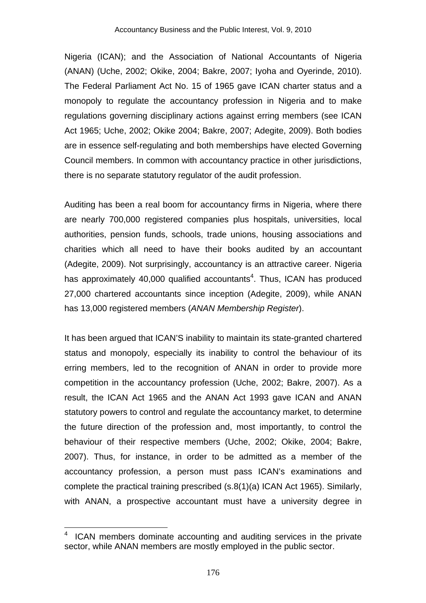Nigeria (ICAN); and the Association of National Accountants of Nigeria (ANAN) (Uche, 2002; Okike, 2004; Bakre, 2007; Iyoha and Oyerinde, 2010). The Federal Parliament Act No. 15 of 1965 gave ICAN charter status and a monopoly to regulate the accountancy profession in Nigeria and to make regulations governing disciplinary actions against erring members (see ICAN Act 1965; Uche, 2002; Okike 2004; Bakre, 2007; Adegite, 2009). Both bodies are in essence self-regulating and both memberships have elected Governing Council members. In common with accountancy practice in other jurisdictions, there is no separate statutory regulator of the audit profession.

Auditing has been a real boom for accountancy firms in Nigeria, where there are nearly 700,000 registered companies plus hospitals, universities, local authorities, pension funds, schools, trade unions, housing associations and charities which all need to have their books audited by an accountant (Adegite, 2009). Not surprisingly, accountancy is an attractive career. Nigeria has approximately 40,000 qualified accountants<sup>4</sup>. Thus, ICAN has produced 27,000 chartered accountants since inception (Adegite, 2009), while ANAN has 13,000 registered members (*ANAN Membership Register*).

It has been argued that ICAN'S inability to maintain its state-granted chartered status and monopoly, especially its inability to control the behaviour of its erring members, led to the recognition of ANAN in order to provide more competition in the accountancy profession (Uche, 2002; Bakre, 2007). As a result, the ICAN Act 1965 and the ANAN Act 1993 gave ICAN and ANAN statutory powers to control and regulate the accountancy market, to determine the future direction of the profession and, most importantly, to control the behaviour of their respective members (Uche, 2002; Okike, 2004; Bakre, 2007). Thus, for instance, in order to be admitted as a member of the accountancy profession, a person must pass ICAN's examinations and complete the practical training prescribed (s.8(1)(a) ICAN Act 1965). Similarly, with ANAN, a prospective accountant must have a university degree in

<sup>4</sup> ICAN members dominate accounting and auditing services in the private sector, while ANAN members are mostly employed in the public sector.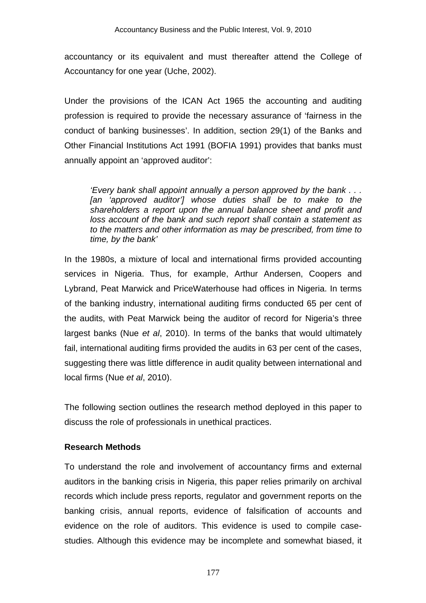accountancy or its equivalent and must thereafter attend the College of Accountancy for one year (Uche, 2002).

Under the provisions of the ICAN Act 1965 the accounting and auditing profession is required to provide the necessary assurance of 'fairness in the conduct of banking businesses'. In addition, section 29(1) of the Banks and Other Financial Institutions Act 1991 (BOFIA 1991) provides that banks must annually appoint an 'approved auditor':

*'Every bank shall appoint annually a person approved by the bank . . .*  [an 'approved auditor'] whose duties shall be to make to the *shareholders a report upon the annual balance sheet and profit and loss account of the bank and such report shall contain a statement as to the matters and other information as may be prescribed, from time to time, by the bank'* 

In the 1980s, a mixture of local and international firms provided accounting services in Nigeria. Thus, for example, Arthur Andersen, Coopers and Lybrand, Peat Marwick and PriceWaterhouse had offices in Nigeria. In terms of the banking industry, international auditing firms conducted 65 per cent of the audits, with Peat Marwick being the auditor of record for Nigeria's three largest banks (Nue *et al*, 2010). In terms of the banks that would ultimately fail, international auditing firms provided the audits in 63 per cent of the cases, suggesting there was little difference in audit quality between international and local firms (Nue *et al*, 2010).

The following section outlines the research method deployed in this paper to discuss the role of professionals in unethical practices.

# **Research Methods**

To understand the role and involvement of accountancy firms and external auditors in the banking crisis in Nigeria, this paper relies primarily on archival records which include press reports, regulator and government reports on the banking crisis, annual reports, evidence of falsification of accounts and evidence on the role of auditors. This evidence is used to compile casestudies. Although this evidence may be incomplete and somewhat biased, it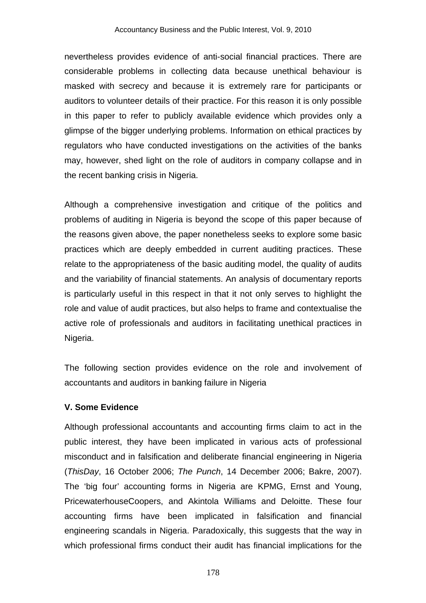nevertheless provides evidence of anti-social financial practices. There are considerable problems in collecting data because unethical behaviour is masked with secrecy and because it is extremely rare for participants or auditors to volunteer details of their practice. For this reason it is only possible in this paper to refer to publicly available evidence which provides only a glimpse of the bigger underlying problems. Information on ethical practices by regulators who have conducted investigations on the activities of the banks may, however, shed light on the role of auditors in company collapse and in the recent banking crisis in Nigeria.

Although a comprehensive investigation and critique of the politics and problems of auditing in Nigeria is beyond the scope of this paper because of the reasons given above, the paper nonetheless seeks to explore some basic practices which are deeply embedded in current auditing practices. These relate to the appropriateness of the basic auditing model, the quality of audits and the variability of financial statements. An analysis of documentary reports is particularly useful in this respect in that it not only serves to highlight the role and value of audit practices, but also helps to frame and contextualise the active role of professionals and auditors in facilitating unethical practices in Nigeria.

The following section provides evidence on the role and involvement of accountants and auditors in banking failure in Nigeria

# **V. Some Evidence**

Although professional accountants and accounting firms claim to act in the public interest, they have been implicated in various acts of professional misconduct and in falsification and deliberate financial engineering in Nigeria (*ThisDay*, 16 October 2006; *The Punch*, 14 December 2006; Bakre, 2007). The 'big four' accounting forms in Nigeria are KPMG, Ernst and Young, PricewaterhouseCoopers, and Akintola Williams and Deloitte. These four accounting firms have been implicated in falsification and financial engineering scandals in Nigeria. Paradoxically, this suggests that the way in which professional firms conduct their audit has financial implications for the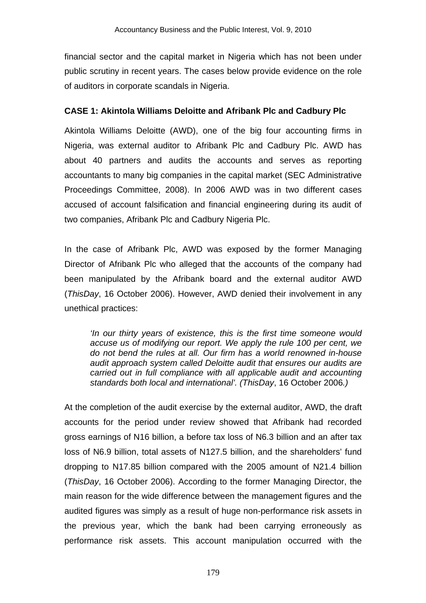financial sector and the capital market in Nigeria which has not been under public scrutiny in recent years. The cases below provide evidence on the role of auditors in corporate scandals in Nigeria.

## **CASE 1: Akintola Williams Deloitte and Afribank Plc and Cadbury Plc**

Akintola Williams Deloitte (AWD), one of the big four accounting firms in Nigeria, was external auditor to Afribank Plc and Cadbury Plc. AWD has about 40 partners and audits the accounts and serves as reporting accountants to many big companies in the capital market (SEC Administrative Proceedings Committee, 2008). In 2006 AWD was in two different cases accused of account falsification and financial engineering during its audit of two companies, Afribank Plc and Cadbury Nigeria Plc.

In the case of Afribank Plc, AWD was exposed by the former Managing Director of Afribank Plc who alleged that the accounts of the company had been manipulated by the Afribank board and the external auditor AWD (*ThisDay*, 16 October 2006). However, AWD denied their involvement in any unethical practices:

*'In our thirty years of existence, this is the first time someone would accuse us of modifying our report. We apply the rule 100 per cent, we do not bend the rules at all. Our firm has a world renowned in-house audit approach system called Deloitte audit that ensures our audits are carried out in full compliance with all applicable audit and accounting standards both local and international'. (ThisDay*, 16 October 2006*.)* 

At the completion of the audit exercise by the external auditor, AWD, the draft accounts for the period under review showed that Afribank had recorded gross earnings of N16 billion, a before tax loss of N6.3 billion and an after tax loss of N6.9 billion, total assets of N127.5 billion, and the shareholders' fund dropping to N17.85 billion compared with the 2005 amount of N21.4 billion (*ThisDay*, 16 October 2006). According to the former Managing Director, the main reason for the wide difference between the management figures and the audited figures was simply as a result of huge non-performance risk assets in the previous year, which the bank had been carrying erroneously as performance risk assets. This account manipulation occurred with the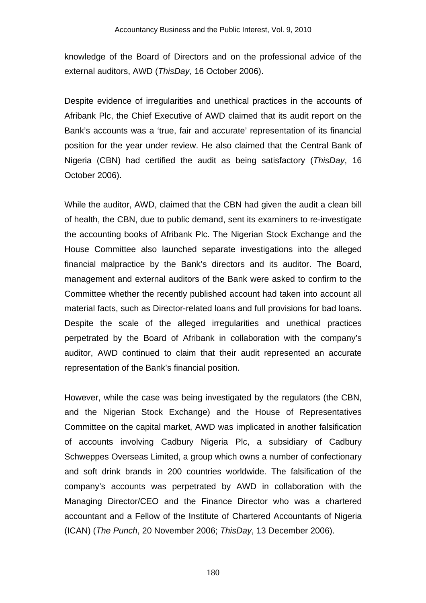knowledge of the Board of Directors and on the professional advice of the external auditors, AWD (*ThisDay*, 16 October 2006).

Despite evidence of irregularities and unethical practices in the accounts of Afribank Plc, the Chief Executive of AWD claimed that its audit report on the Bank's accounts was a 'true, fair and accurate' representation of its financial position for the year under review. He also claimed that the Central Bank of Nigeria (CBN) had certified the audit as being satisfactory (*ThisDay*, 16 October 2006).

While the auditor, AWD, claimed that the CBN had given the audit a clean bill of health, the CBN, due to public demand, sent its examiners to re-investigate the accounting books of Afribank Plc. The Nigerian Stock Exchange and the House Committee also launched separate investigations into the alleged financial malpractice by the Bank's directors and its auditor. The Board, management and external auditors of the Bank were asked to confirm to the Committee whether the recently published account had taken into account all material facts, such as Director-related loans and full provisions for bad loans. Despite the scale of the alleged irregularities and unethical practices perpetrated by the Board of Afribank in collaboration with the company's auditor, AWD continued to claim that their audit represented an accurate representation of the Bank's financial position.

However, while the case was being investigated by the regulators (the CBN, and the Nigerian Stock Exchange) and the House of Representatives Committee on the capital market, AWD was implicated in another falsification of accounts involving Cadbury Nigeria Plc, a subsidiary of Cadbury Schweppes Overseas Limited, a group which owns a number of confectionary and soft drink brands in 200 countries worldwide. The falsification of the company's accounts was perpetrated by AWD in collaboration with the Managing Director/CEO and the Finance Director who was a chartered accountant and a Fellow of the Institute of Chartered Accountants of Nigeria (ICAN) (*The Punch*, 20 November 2006; *ThisDay*, 13 December 2006).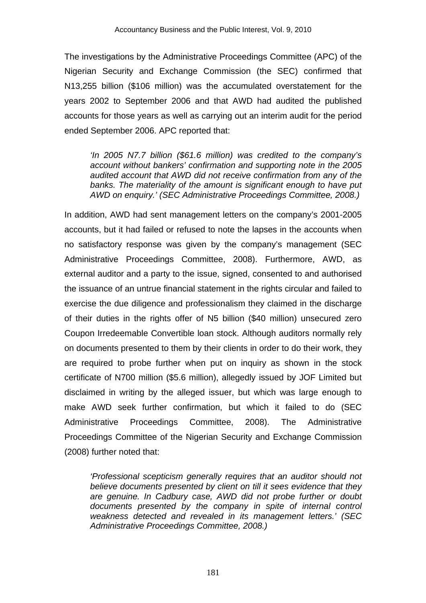The investigations by the Administrative Proceedings Committee (APC) of the Nigerian Security and Exchange Commission (the SEC) confirmed that N13,255 billion (\$106 million) was the accumulated overstatement for the years 2002 to September 2006 and that AWD had audited the published accounts for those years as well as carrying out an interim audit for the period ended September 2006. APC reported that:

*'In 2005 N7.7 billion (\$61.6 million) was credited to the company's account without bankers' confirmation and supporting note in the 2005 audited account that AWD did not receive confirmation from any of the banks. The materiality of the amount is significant enough to have put AWD on enquiry.' (SEC Administrative Proceedings Committee, 2008.)* 

In addition, AWD had sent management letters on the company's 2001-2005 accounts, but it had failed or refused to note the lapses in the accounts when no satisfactory response was given by the company's management (SEC Administrative Proceedings Committee, 2008). Furthermore, AWD, as external auditor and a party to the issue, signed, consented to and authorised the issuance of an untrue financial statement in the rights circular and failed to exercise the due diligence and professionalism they claimed in the discharge of their duties in the rights offer of N5 billion (\$40 million) unsecured zero Coupon Irredeemable Convertible loan stock. Although auditors normally rely on documents presented to them by their clients in order to do their work, they are required to probe further when put on inquiry as shown in the stock certificate of N700 million (\$5.6 million), allegedly issued by JOF Limited but disclaimed in writing by the alleged issuer, but which was large enough to make AWD seek further confirmation, but which it failed to do (SEC Administrative Proceedings Committee, 2008). The Administrative Proceedings Committee of the Nigerian Security and Exchange Commission (2008) further noted that:

*'Professional scepticism generally requires that an auditor should not believe documents presented by client on till it sees evidence that they are genuine. In Cadbury case, AWD did not probe further or doubt documents presented by the company in spite of internal control weakness detected and revealed in its management letters.' (SEC Administrative Proceedings Committee, 2008.)*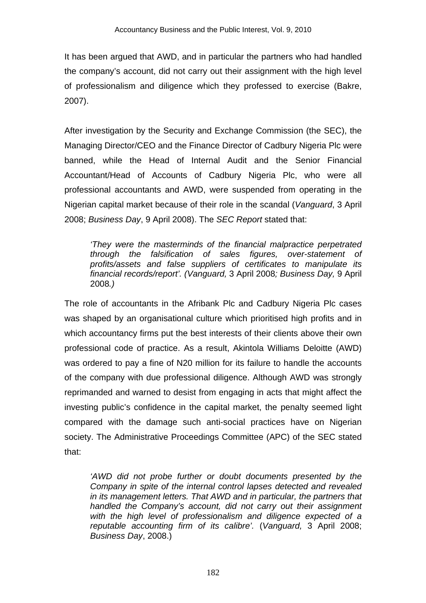It has been argued that AWD, and in particular the partners who had handled the company's account, did not carry out their assignment with the high level of professionalism and diligence which they professed to exercise (Bakre, 2007).

After investigation by the Security and Exchange Commission (the SEC), the Managing Director/CEO and the Finance Director of Cadbury Nigeria Plc were banned, while the Head of Internal Audit and the Senior Financial Accountant/Head of Accounts of Cadbury Nigeria Plc, who were all professional accountants and AWD, were suspended from operating in the Nigerian capital market because of their role in the scandal (*Vanguard*, 3 April 2008; *Business Day*, 9 April 2008). The *SEC Report* stated that:

*'They were the masterminds of the financial malpractice perpetrated through the falsification of sales figures, over-statement of profits/assets and false suppliers of certificates to manipulate its financial records/report'. (Vanguard,* 3 April 2008*; Business Day,* 9 April 2008*.)* 

The role of accountants in the Afribank Plc and Cadbury Nigeria Plc cases was shaped by an organisational culture which prioritised high profits and in which accountancy firms put the best interests of their clients above their own professional code of practice. As a result, Akintola Williams Deloitte (AWD) was ordered to pay a fine of N20 million for its failure to handle the accounts of the company with due professional diligence. Although AWD was strongly reprimanded and warned to desist from engaging in acts that might affect the investing public's confidence in the capital market, the penalty seemed light compared with the damage such anti-social practices have on Nigerian society. The Administrative Proceedings Committee (APC) of the SEC stated that:

*'AWD did not probe further or doubt documents presented by the Company in spite of the internal control lapses detected and revealed in its management letters. That AWD and in particular, the partners that handled the Company's account, did not carry out their assignment with the high level of professionalism and diligence expected of a reputable accounting firm of its calibre'.* (*Vanguard,* 3 April 2008; *Business Day*, 2008.)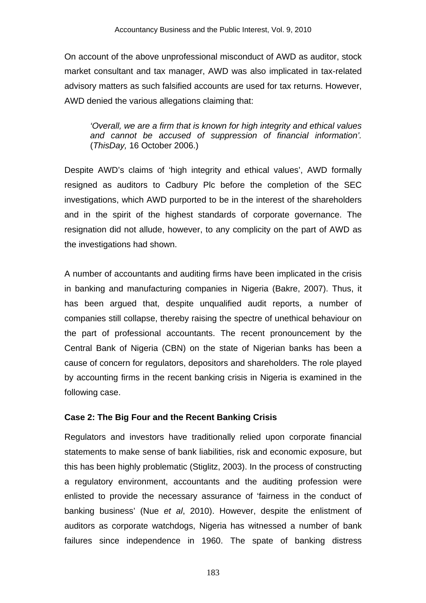On account of the above unprofessional misconduct of AWD as auditor, stock market consultant and tax manager, AWD was also implicated in tax-related advisory matters as such falsified accounts are used for tax returns. However, AWD denied the various allegations claiming that:

*'Overall, we are a firm that is known for high integrity and ethical values and cannot be accused of suppression of financial information'.*  (*ThisDay,* 16 October 2006.)

Despite AWD's claims of 'high integrity and ethical values', AWD formally resigned as auditors to Cadbury Plc before the completion of the SEC investigations, which AWD purported to be in the interest of the shareholders and in the spirit of the highest standards of corporate governance. The resignation did not allude, however, to any complicity on the part of AWD as the investigations had shown.

A number of accountants and auditing firms have been implicated in the crisis in banking and manufacturing companies in Nigeria (Bakre, 2007). Thus, it has been argued that, despite unqualified audit reports, a number of companies still collapse, thereby raising the spectre of unethical behaviour on the part of professional accountants. The recent pronouncement by the Central Bank of Nigeria (CBN) on the state of Nigerian banks has been a cause of concern for regulators, depositors and shareholders. The role played by accounting firms in the recent banking crisis in Nigeria is examined in the following case.

# **Case 2: The Big Four and the Recent Banking Crisis**

Regulators and investors have traditionally relied upon corporate financial statements to make sense of bank liabilities, risk and economic exposure, but this has been highly problematic (Stiglitz, 2003). In the process of constructing a regulatory environment, accountants and the auditing profession were enlisted to provide the necessary assurance of 'fairness in the conduct of banking business' (Nue *et al*, 2010). However, despite the enlistment of auditors as corporate watchdogs, Nigeria has witnessed a number of bank failures since independence in 1960. The spate of banking distress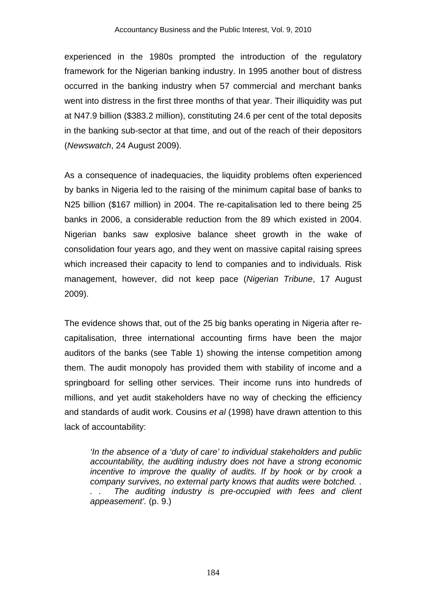experienced in the 1980s prompted the introduction of the regulatory framework for the Nigerian banking industry. In 1995 another bout of distress occurred in the banking industry when 57 commercial and merchant banks went into distress in the first three months of that year. Their illiquidity was put at N47.9 billion (\$383.2 million), constituting 24.6 per cent of the total deposits in the banking sub-sector at that time, and out of the reach of their depositors (*Newswatch*, 24 August 2009).

As a consequence of inadequacies, the liquidity problems often experienced by banks in Nigeria led to the raising of the minimum capital base of banks to N25 billion (\$167 million) in 2004. The re-capitalisation led to there being 25 banks in 2006, a considerable reduction from the 89 which existed in 2004. Nigerian banks saw explosive balance sheet growth in the wake of consolidation four years ago, and they went on massive capital raising sprees which increased their capacity to lend to companies and to individuals. Risk management, however, did not keep pace (*Nigerian Tribune*, 17 August 2009).

The evidence shows that, out of the 25 big banks operating in Nigeria after recapitalisation, three international accounting firms have been the major auditors of the banks (see Table 1) showing the intense competition among them. The audit monopoly has provided them with stability of income and a springboard for selling other services. Their income runs into hundreds of millions, and yet audit stakeholders have no way of checking the efficiency and standards of audit work. Cousins *et al* (1998) have drawn attention to this lack of accountability:

*'In the absence of a 'duty of care' to individual stakeholders and public accountability, the auditing industry does not have a strong economic incentive to improve the quality of audits. If by hook or by crook a company survives, no external party knows that audits were botched. .*  The auditing industry is pre-occupied with fees and client *appeasement'.* (p. 9.)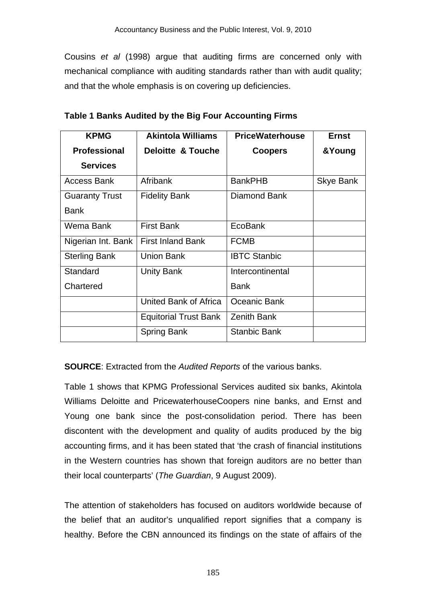Cousins *et al* (1998) argue that auditing firms are concerned only with mechanical compliance with auditing standards rather than with audit quality; and that the whole emphasis is on covering up deficiencies.

| <b>KPMG</b>           | <b>Akintola Williams</b>     | <b>PriceWaterhouse</b> | <b>Ernst</b> |  |
|-----------------------|------------------------------|------------------------|--------------|--|
| <b>Professional</b>   | <b>Deloitte &amp; Touche</b> | <b>Coopers</b>         | &Young       |  |
| <b>Services</b>       |                              |                        |              |  |
| <b>Access Bank</b>    | Afribank                     | <b>BankPHB</b>         | Skye Bank    |  |
| <b>Guaranty Trust</b> | <b>Fidelity Bank</b>         | Diamond Bank           |              |  |
| <b>Bank</b>           |                              |                        |              |  |
| Wema Bank             | <b>First Bank</b>            | EcoBank                |              |  |
| Nigerian Int. Bank    | <b>First Inland Bank</b>     | <b>FCMB</b>            |              |  |
| <b>Sterling Bank</b>  | <b>Union Bank</b>            | <b>IBTC Stanbic</b>    |              |  |
| Standard              | <b>Unity Bank</b>            | Intercontinental       |              |  |
| Chartered             |                              | Bank                   |              |  |
|                       | United Bank of Africa        | Oceanic Bank           |              |  |
|                       | <b>Equitorial Trust Bank</b> | <b>Zenith Bank</b>     |              |  |
|                       | <b>Spring Bank</b>           | <b>Stanbic Bank</b>    |              |  |

**Table 1 Banks Audited by the Big Four Accounting Firms** 

**SOURCE**: Extracted from the *Audited Reports* of the various banks.

Table 1 shows that KPMG Professional Services audited six banks, Akintola Williams Deloitte and PricewaterhouseCoopers nine banks, and Ernst and Young one bank since the post-consolidation period. There has been discontent with the development and quality of audits produced by the big accounting firms, and it has been stated that 'the crash of financial institutions in the Western countries has shown that foreign auditors are no better than their local counterparts' (*The Guardian*, 9 August 2009).

The attention of stakeholders has focused on auditors worldwide because of the belief that an auditor's unqualified report signifies that a company is healthy. Before the CBN announced its findings on the state of affairs of the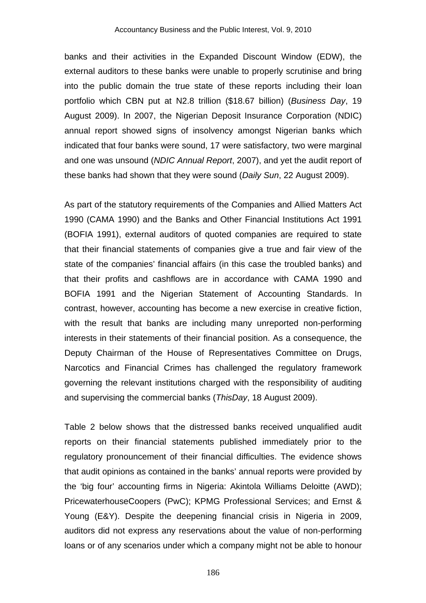banks and their activities in the Expanded Discount Window (EDW), the external auditors to these banks were unable to properly scrutinise and bring into the public domain the true state of these reports including their loan portfolio which CBN put at N2.8 trillion (\$18.67 billion) (*Business Day*, 19 August 2009). In 2007, the Nigerian Deposit Insurance Corporation (NDIC) annual report showed signs of insolvency amongst Nigerian banks which indicated that four banks were sound, 17 were satisfactory, two were marginal and one was unsound (*NDIC Annual Report*, 2007), and yet the audit report of these banks had shown that they were sound (*Daily Sun*, 22 August 2009).

As part of the statutory requirements of the Companies and Allied Matters Act 1990 (CAMA 1990) and the Banks and Other Financial Institutions Act 1991 (BOFIA 1991), external auditors of quoted companies are required to state that their financial statements of companies give a true and fair view of the state of the companies' financial affairs (in this case the troubled banks) and that their profits and cashflows are in accordance with CAMA 1990 and BOFIA 1991 and the Nigerian Statement of Accounting Standards. In contrast, however, accounting has become a new exercise in creative fiction, with the result that banks are including many unreported non-performing interests in their statements of their financial position. As a consequence, the Deputy Chairman of the House of Representatives Committee on Drugs, Narcotics and Financial Crimes has challenged the regulatory framework governing the relevant institutions charged with the responsibility of auditing and supervising the commercial banks (*ThisDay*, 18 August 2009).

Table 2 below shows that the distressed banks received unqualified audit reports on their financial statements published immediately prior to the regulatory pronouncement of their financial difficulties. The evidence shows that audit opinions as contained in the banks' annual reports were provided by the 'big four' accounting firms in Nigeria: Akintola Williams Deloitte (AWD); PricewaterhouseCoopers (PwC); KPMG Professional Services; and Ernst & Young (E&Y). Despite the deepening financial crisis in Nigeria in 2009, auditors did not express any reservations about the value of non-performing loans or of any scenarios under which a company might not be able to honour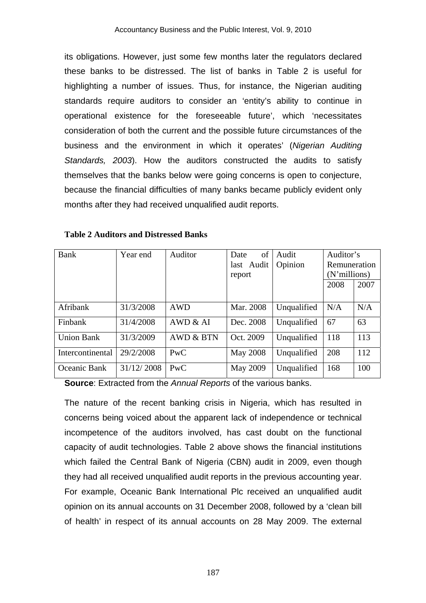its obligations. However, just some few months later the regulators declared these banks to be distressed. The list of banks in Table 2 is useful for highlighting a number of issues. Thus, for instance, the Nigerian auditing standards require auditors to consider an 'entity's ability to continue in operational existence for the foreseeable future', which 'necessitates consideration of both the current and the possible future circumstances of the business and the environment in which it operates' (*Nigerian Auditing Standards, 2003*). How the auditors constructed the audits to satisfy themselves that the banks below were going concerns is open to conjecture, because the financial difficulties of many banks became publicly evident only months after they had received unqualified audit reports.

| Bank              | Year end   | Auditor              | of<br>Date      | Audit       | Auditor's    |      |
|-------------------|------------|----------------------|-----------------|-------------|--------------|------|
|                   |            |                      | last Audit      | Opinion     | Remuneration |      |
|                   |            |                      | report          |             | (N'millions) |      |
|                   |            |                      |                 |             | 2008         | 2007 |
|                   |            |                      |                 |             |              |      |
| Afribank          | 31/3/2008  | <b>AWD</b>           | Mar. 2008       | Unqualified | N/A          | N/A  |
| Finbank           | 31/4/2008  | AWD & AI             | Dec. 2008       | Unqualified | 67           | 63   |
| <b>Union Bank</b> | 31/3/2009  | <b>AWD &amp; BTN</b> | Oct. 2009       | Unqualified | 118          | 113  |
| Intercontinental  | 29/2/2008  | PwC                  | <b>May 2008</b> | Unqualified | 208          | 112  |
| Oceanic Bank      | 31/12/2008 | PwC                  | May 2009        | Unqualified | 168          | 100  |

**Table 2 Auditors and Distressed Banks** 

**Source**: Extracted from the *Annual Reports* of the various banks.

The nature of the recent banking crisis in Nigeria, which has resulted in concerns being voiced about the apparent lack of independence or technical incompetence of the auditors involved, has cast doubt on the functional capacity of audit technologies. Table 2 above shows the financial institutions which failed the Central Bank of Nigeria (CBN) audit in 2009, even though they had all received unqualified audit reports in the previous accounting year. For example, Oceanic Bank International Plc received an unqualified audit opinion on its annual accounts on 31 December 2008, followed by a 'clean bill of health' in respect of its annual accounts on 28 May 2009. The external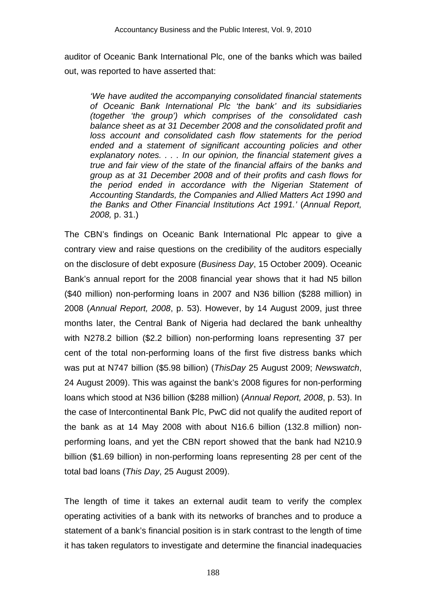auditor of Oceanic Bank International Plc, one of the banks which was bailed out, was reported to have asserted that:

*'We have audited the accompanying consolidated financial statements of Oceanic Bank International Plc 'the bank' and its subsidiaries (together 'the group') which comprises of the consolidated cash balance sheet as at 31 December 2008 and the consolidated profit and loss account and consolidated cash flow statements for the period ended and a statement of significant accounting policies and other explanatory notes. . . . In our opinion, the financial statement gives a true and fair view of the state of the financial affairs of the banks and group as at 31 December 2008 and of their profits and cash flows for the period ended in accordance with the Nigerian Statement of Accounting Standards, the Companies and Allied Matters Act 1990 and the Banks and Other Financial Institutions Act 1991.'* (*Annual Report, 2008,* p. 31.)

The CBN's findings on Oceanic Bank International Plc appear to give a contrary view and raise questions on the credibility of the auditors especially on the disclosure of debt exposure (*Business Day*, 15 October 2009). Oceanic Bank's annual report for the 2008 financial year shows that it had N5 billon (\$40 million) non-performing loans in 2007 and N36 billion (\$288 million) in 2008 (*Annual Report, 2008*, p. 53). However, by 14 August 2009, just three months later, the Central Bank of Nigeria had declared the bank unhealthy with N278.2 billion (\$2.2 billion) non-performing loans representing 37 per cent of the total non-performing loans of the first five distress banks which was put at N747 billion (\$5.98 billion) (*ThisDay* 25 August 2009; *Newswatch*, 24 August 2009). This was against the bank's 2008 figures for non-performing loans which stood at N36 billion (\$288 million) (*Annual Report, 2008*, p. 53). In the case of Intercontinental Bank Plc, PwC did not qualify the audited report of the bank as at 14 May 2008 with about N16.6 billion (132.8 million) nonperforming loans, and yet the CBN report showed that the bank had N210.9 billion (\$1.69 billion) in non-performing loans representing 28 per cent of the total bad loans (*This Day*, 25 August 2009).

The length of time it takes an external audit team to verify the complex operating activities of a bank with its networks of branches and to produce a statement of a bank's financial position is in stark contrast to the length of time it has taken regulators to investigate and determine the financial inadequacies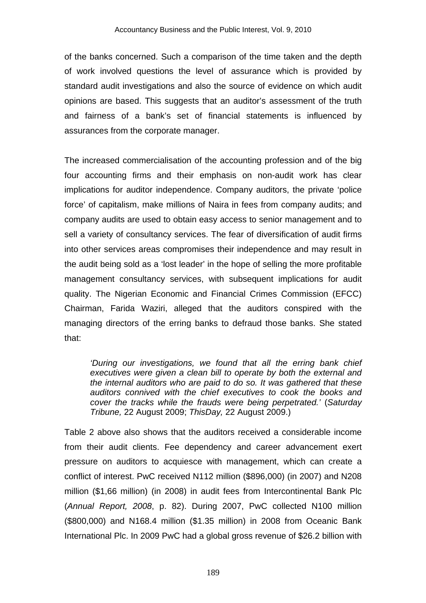of the banks concerned. Such a comparison of the time taken and the depth of work involved questions the level of assurance which is provided by standard audit investigations and also the source of evidence on which audit opinions are based. This suggests that an auditor's assessment of the truth and fairness of a bank's set of financial statements is influenced by assurances from the corporate manager.

The increased commercialisation of the accounting profession and of the big four accounting firms and their emphasis on non-audit work has clear implications for auditor independence. Company auditors, the private 'police force' of capitalism, make millions of Naira in fees from company audits; and company audits are used to obtain easy access to senior management and to sell a variety of consultancy services. The fear of diversification of audit firms into other services areas compromises their independence and may result in the audit being sold as a 'lost leader' in the hope of selling the more profitable management consultancy services, with subsequent implications for audit quality. The Nigerian Economic and Financial Crimes Commission (EFCC) Chairman, Farida Waziri, alleged that the auditors conspired with the managing directors of the erring banks to defraud those banks. She stated that:

*'During our investigations, we found that all the erring bank chief executives were given a clean bill to operate by both the external and the internal auditors who are paid to do so. It was gathered that these auditors connived with the chief executives to cook the books and cover the tracks while the frauds were being perpetrated.'* (*Saturday Tribune,* 22 August 2009; *ThisDay,* 22 August 2009.)

Table 2 above also shows that the auditors received a considerable income from their audit clients. Fee dependency and career advancement exert pressure on auditors to acquiesce with management, which can create a conflict of interest. PwC received N112 million (\$896,000) (in 2007) and N208 million (\$1,66 million) (in 2008) in audit fees from Intercontinental Bank Plc (*Annual Report, 2008*, p. 82). During 2007, PwC collected N100 million (\$800,000) and N168.4 million (\$1.35 million) in 2008 from Oceanic Bank International Plc. In 2009 PwC had a global gross revenue of \$26.2 billion with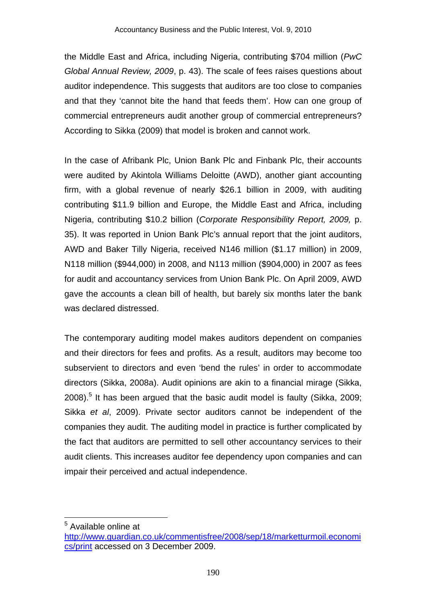the Middle East and Africa, including Nigeria, contributing \$704 million (*PwC Global Annual Review, 2009*, p. 43). The scale of fees raises questions about auditor independence. This suggests that auditors are too close to companies and that they 'cannot bite the hand that feeds them'. How can one group of commercial entrepreneurs audit another group of commercial entrepreneurs? According to Sikka (2009) that model is broken and cannot work.

In the case of Afribank Plc, Union Bank Plc and Finbank Plc, their accounts were audited by Akintola Williams Deloitte (AWD), another giant accounting firm, with a global revenue of nearly \$26.1 billion in 2009, with auditing contributing \$11.9 billion and Europe, the Middle East and Africa, including Nigeria, contributing \$10.2 billion (*Corporate Responsibility Report, 2009,* p. 35). It was reported in Union Bank Plc's annual report that the joint auditors, AWD and Baker Tilly Nigeria, received N146 million (\$1.17 million) in 2009, N118 million (\$944,000) in 2008, and N113 million (\$904,000) in 2007 as fees for audit and accountancy services from Union Bank Plc. On April 2009, AWD gave the accounts a clean bill of health, but barely six months later the bank was declared distressed.

The contemporary auditing model makes auditors dependent on companies and their directors for fees and profits. As a result, auditors may become too subservient to directors and even 'bend the rules' in order to accommodate directors (Sikka, 2008a). Audit opinions are akin to a financial mirage (Sikka, 2008).<sup>5</sup> It has been argued that the basic audit model is faulty (Sikka, 2009; Sikka *et al*, 2009). Private sector auditors cannot be independent of the companies they audit. The auditing model in practice is further complicated by the fact that auditors are permitted to sell other accountancy services to their audit clients. This increases auditor fee dependency upon companies and can impair their perceived and actual independence.

<sup>&</sup>lt;sup>5</sup> Available online at

http://www.guardian.co.uk/commentisfree/2008/sep/18/marketturmoil.economi cs/print accessed on 3 December 2009.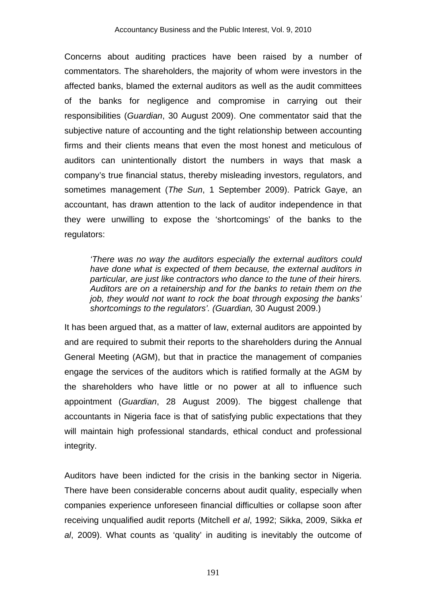Concerns about auditing practices have been raised by a number of commentators. The shareholders, the majority of whom were investors in the affected banks, blamed the external auditors as well as the audit committees of the banks for negligence and compromise in carrying out their responsibilities (*Guardian*, 30 August 2009). One commentator said that the subjective nature of accounting and the tight relationship between accounting firms and their clients means that even the most honest and meticulous of auditors can unintentionally distort the numbers in ways that mask a company's true financial status, thereby misleading investors, regulators, and sometimes management (*The Sun*, 1 September 2009). Patrick Gaye, an accountant, has drawn attention to the lack of auditor independence in that they were unwilling to expose the 'shortcomings' of the banks to the regulators:

*'There was no way the auditors especially the external auditors could have done what is expected of them because, the external auditors in particular, are just like contractors who dance to the tune of their hirers. Auditors are on a retainership and for the banks to retain them on the job, they would not want to rock the boat through exposing the banks' shortcomings to the regulators'. (Guardian,* 30 August 2009.)

It has been argued that, as a matter of law, external auditors are appointed by and are required to submit their reports to the shareholders during the Annual General Meeting (AGM), but that in practice the management of companies engage the services of the auditors which is ratified formally at the AGM by the shareholders who have little or no power at all to influence such appointment (*Guardian*, 28 August 2009). The biggest challenge that accountants in Nigeria face is that of satisfying public expectations that they will maintain high professional standards, ethical conduct and professional integrity.

Auditors have been indicted for the crisis in the banking sector in Nigeria. There have been considerable concerns about audit quality, especially when companies experience unforeseen financial difficulties or collapse soon after receiving unqualified audit reports (Mitchell *et al*, 1992; Sikka, 2009, Sikka *et al*, 2009). What counts as 'quality' in auditing is inevitably the outcome of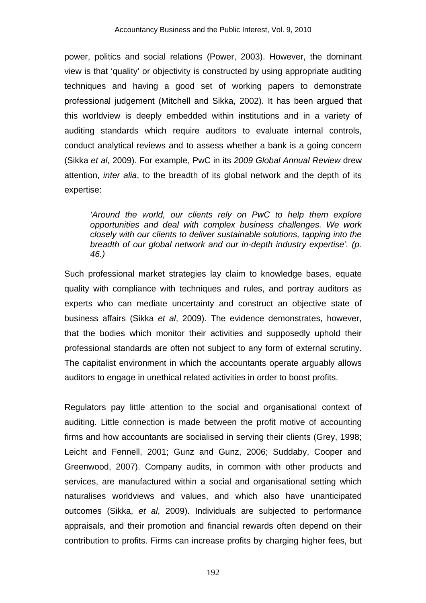power, politics and social relations (Power, 2003). However, the dominant view is that 'quality' or objectivity is constructed by using appropriate auditing techniques and having a good set of working papers to demonstrate professional judgement (Mitchell and Sikka, 2002). It has been argued that this worldview is deeply embedded within institutions and in a variety of auditing standards which require auditors to evaluate internal controls, conduct analytical reviews and to assess whether a bank is a going concern (Sikka *et al*, 2009). For example, PwC in its *2009 Global Annual Review* drew attention, *inter alia*, to the breadth of its global network and the depth of its expertise:

*'Around the world, our clients rely on PwC to help them explore opportunities and deal with complex business challenges. We work closely with our clients to deliver sustainable solutions, tapping into the breadth of our global network and our in-depth industry expertise'. (p. 46.)* 

Such professional market strategies lay claim to knowledge bases, equate quality with compliance with techniques and rules, and portray auditors as experts who can mediate uncertainty and construct an objective state of business affairs (Sikka *et al*, 2009). The evidence demonstrates, however, that the bodies which monitor their activities and supposedly uphold their professional standards are often not subject to any form of external scrutiny. The capitalist environment in which the accountants operate arguably allows auditors to engage in unethical related activities in order to boost profits.

Regulators pay little attention to the social and organisational context of auditing. Little connection is made between the profit motive of accounting firms and how accountants are socialised in serving their clients (Grey, 1998; Leicht and Fennell, 2001; Gunz and Gunz, 2006; Suddaby, Cooper and Greenwood, 2007). Company audits, in common with other products and services, are manufactured within a social and organisational setting which naturalises worldviews and values, and which also have unanticipated outcomes (Sikka, *et al*, 2009). Individuals are subjected to performance appraisals, and their promotion and financial rewards often depend on their contribution to profits. Firms can increase profits by charging higher fees, but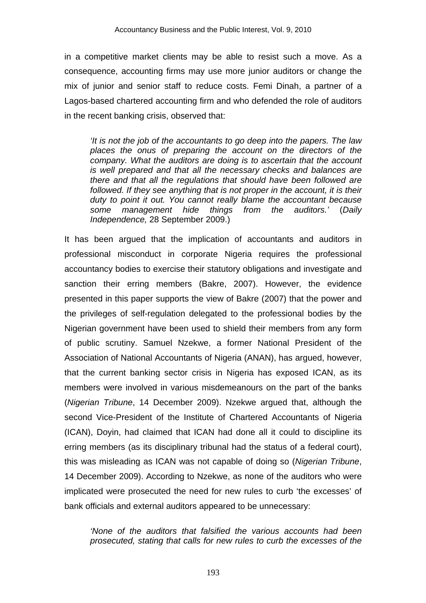in a competitive market clients may be able to resist such a move. As a consequence, accounting firms may use more junior auditors or change the mix of junior and senior staff to reduce costs. Femi Dinah, a partner of a Lagos-based chartered accounting firm and who defended the role of auditors in the recent banking crisis, observed that:

*'It is not the job of the accountants to go deep into the papers. The law places the onus of preparing the account on the directors of the company. What the auditors are doing is to ascertain that the account is well prepared and that all the necessary checks and balances are there and that all the regulations that should have been followed are*  followed. If they see anything that is not proper in the account, it is their *duty to point it out. You cannot really blame the accountant because some management hide things from the auditors.'* (*Daily Independence,* 28 September 2009.)

It has been argued that the implication of accountants and auditors in professional misconduct in corporate Nigeria requires the professional accountancy bodies to exercise their statutory obligations and investigate and sanction their erring members (Bakre, 2007). However, the evidence presented in this paper supports the view of Bakre (2007) that the power and the privileges of self-regulation delegated to the professional bodies by the Nigerian government have been used to shield their members from any form of public scrutiny. Samuel Nzekwe, a former National President of the Association of National Accountants of Nigeria (ANAN), has argued, however, that the current banking sector crisis in Nigeria has exposed ICAN, as its members were involved in various misdemeanours on the part of the banks (*Nigerian Tribune*, 14 December 2009). Nzekwe argued that, although the second Vice-President of the Institute of Chartered Accountants of Nigeria (ICAN), Doyin, had claimed that ICAN had done all it could to discipline its erring members (as its disciplinary tribunal had the status of a federal court), this was misleading as ICAN was not capable of doing so (*Nigerian Tribune*, 14 December 2009). According to Nzekwe, as none of the auditors who were implicated were prosecuted the need for new rules to curb 'the excesses' of bank officials and external auditors appeared to be unnecessary:

*'None of the auditors that falsified the various accounts had been prosecuted, stating that calls for new rules to curb the excesses of the*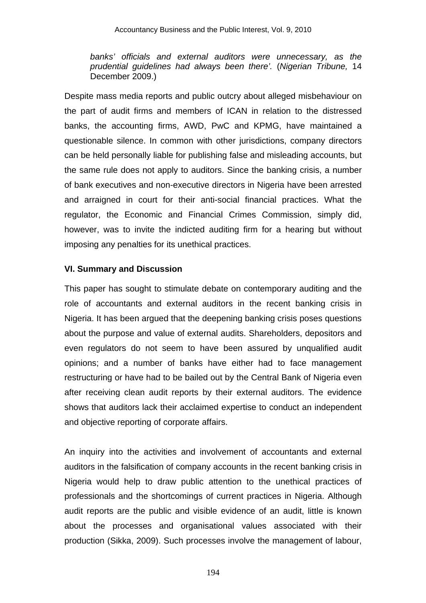*banks' officials and external auditors were unnecessary, as the prudential guidelines had always been there'.* (*Nigerian Tribune,* 14 December 2009.)

Despite mass media reports and public outcry about alleged misbehaviour on the part of audit firms and members of ICAN in relation to the distressed banks, the accounting firms, AWD, PwC and KPMG, have maintained a questionable silence. In common with other jurisdictions, company directors can be held personally liable for publishing false and misleading accounts, but the same rule does not apply to auditors. Since the banking crisis, a number of bank executives and non-executive directors in Nigeria have been arrested and arraigned in court for their anti-social financial practices. What the regulator, the Economic and Financial Crimes Commission, simply did, however, was to invite the indicted auditing firm for a hearing but without imposing any penalties for its unethical practices.

## **VI. Summary and Discussion**

This paper has sought to stimulate debate on contemporary auditing and the role of accountants and external auditors in the recent banking crisis in Nigeria. It has been argued that the deepening banking crisis poses questions about the purpose and value of external audits. Shareholders, depositors and even regulators do not seem to have been assured by unqualified audit opinions; and a number of banks have either had to face management restructuring or have had to be bailed out by the Central Bank of Nigeria even after receiving clean audit reports by their external auditors. The evidence shows that auditors lack their acclaimed expertise to conduct an independent and objective reporting of corporate affairs.

An inquiry into the activities and involvement of accountants and external auditors in the falsification of company accounts in the recent banking crisis in Nigeria would help to draw public attention to the unethical practices of professionals and the shortcomings of current practices in Nigeria. Although audit reports are the public and visible evidence of an audit, little is known about the processes and organisational values associated with their production (Sikka, 2009). Such processes involve the management of labour,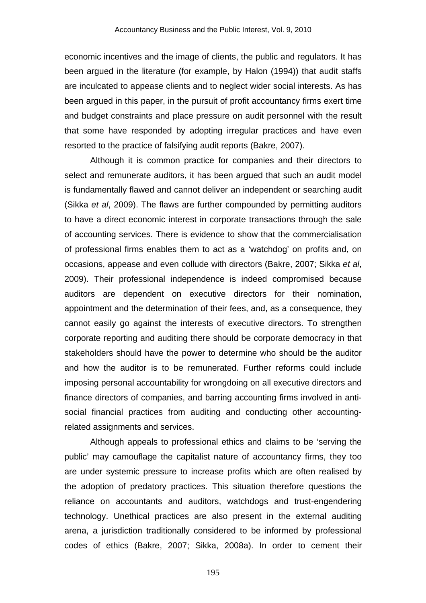economic incentives and the image of clients, the public and regulators. It has been argued in the literature (for example, by Halon (1994)) that audit staffs are inculcated to appease clients and to neglect wider social interests. As has been argued in this paper, in the pursuit of profit accountancy firms exert time and budget constraints and place pressure on audit personnel with the result that some have responded by adopting irregular practices and have even resorted to the practice of falsifying audit reports (Bakre, 2007).

Although it is common practice for companies and their directors to select and remunerate auditors, it has been argued that such an audit model is fundamentally flawed and cannot deliver an independent or searching audit (Sikka *et al*, 2009). The flaws are further compounded by permitting auditors to have a direct economic interest in corporate transactions through the sale of accounting services. There is evidence to show that the commercialisation of professional firms enables them to act as a 'watchdog' on profits and, on occasions, appease and even collude with directors (Bakre, 2007; Sikka *et al*, 2009). Their professional independence is indeed compromised because auditors are dependent on executive directors for their nomination, appointment and the determination of their fees, and, as a consequence, they cannot easily go against the interests of executive directors. To strengthen corporate reporting and auditing there should be corporate democracy in that stakeholders should have the power to determine who should be the auditor and how the auditor is to be remunerated. Further reforms could include imposing personal accountability for wrongdoing on all executive directors and finance directors of companies, and barring accounting firms involved in antisocial financial practices from auditing and conducting other accountingrelated assignments and services.

Although appeals to professional ethics and claims to be 'serving the public' may camouflage the capitalist nature of accountancy firms, they too are under systemic pressure to increase profits which are often realised by the adoption of predatory practices. This situation therefore questions the reliance on accountants and auditors, watchdogs and trust-engendering technology. Unethical practices are also present in the external auditing arena, a jurisdiction traditionally considered to be informed by professional codes of ethics (Bakre, 2007; Sikka, 2008a). In order to cement their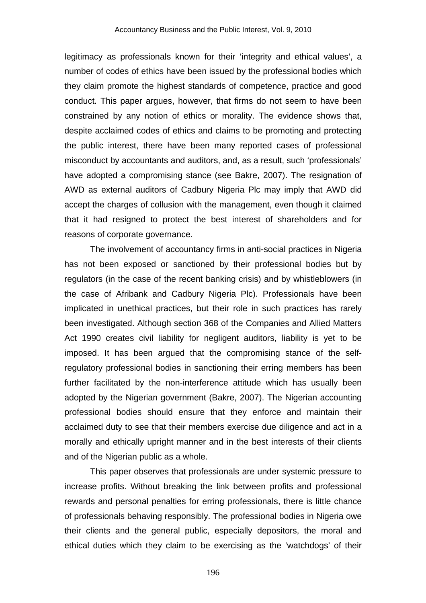legitimacy as professionals known for their 'integrity and ethical values', a number of codes of ethics have been issued by the professional bodies which they claim promote the highest standards of competence, practice and good conduct. This paper argues, however, that firms do not seem to have been constrained by any notion of ethics or morality. The evidence shows that, despite acclaimed codes of ethics and claims to be promoting and protecting the public interest, there have been many reported cases of professional misconduct by accountants and auditors, and, as a result, such 'professionals' have adopted a compromising stance (see Bakre, 2007). The resignation of AWD as external auditors of Cadbury Nigeria Plc may imply that AWD did accept the charges of collusion with the management, even though it claimed that it had resigned to protect the best interest of shareholders and for reasons of corporate governance.

The involvement of accountancy firms in anti-social practices in Nigeria has not been exposed or sanctioned by their professional bodies but by regulators (in the case of the recent banking crisis) and by whistleblowers (in the case of Afribank and Cadbury Nigeria Plc). Professionals have been implicated in unethical practices, but their role in such practices has rarely been investigated. Although section 368 of the Companies and Allied Matters Act 1990 creates civil liability for negligent auditors, liability is yet to be imposed. It has been argued that the compromising stance of the selfregulatory professional bodies in sanctioning their erring members has been further facilitated by the non-interference attitude which has usually been adopted by the Nigerian government (Bakre, 2007). The Nigerian accounting professional bodies should ensure that they enforce and maintain their acclaimed duty to see that their members exercise due diligence and act in a morally and ethically upright manner and in the best interests of their clients and of the Nigerian public as a whole.

This paper observes that professionals are under systemic pressure to increase profits. Without breaking the link between profits and professional rewards and personal penalties for erring professionals, there is little chance of professionals behaving responsibly. The professional bodies in Nigeria owe their clients and the general public, especially depositors, the moral and ethical duties which they claim to be exercising as the 'watchdogs' of their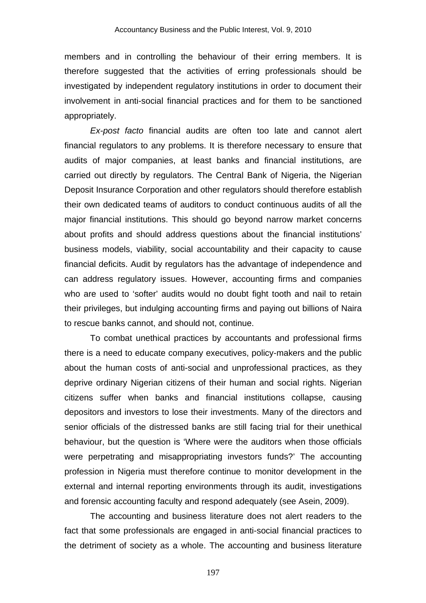members and in controlling the behaviour of their erring members. It is therefore suggested that the activities of erring professionals should be investigated by independent regulatory institutions in order to document their involvement in anti-social financial practices and for them to be sanctioned appropriately.

*Ex-post facto* financial audits are often too late and cannot alert financial regulators to any problems. It is therefore necessary to ensure that audits of major companies, at least banks and financial institutions, are carried out directly by regulators. The Central Bank of Nigeria, the Nigerian Deposit Insurance Corporation and other regulators should therefore establish their own dedicated teams of auditors to conduct continuous audits of all the major financial institutions. This should go beyond narrow market concerns about profits and should address questions about the financial institutions' business models, viability, social accountability and their capacity to cause financial deficits. Audit by regulators has the advantage of independence and can address regulatory issues. However, accounting firms and companies who are used to 'softer' audits would no doubt fight tooth and nail to retain their privileges, but indulging accounting firms and paying out billions of Naira to rescue banks cannot, and should not, continue.

To combat unethical practices by accountants and professional firms there is a need to educate company executives, policy-makers and the public about the human costs of anti-social and unprofessional practices, as they deprive ordinary Nigerian citizens of their human and social rights. Nigerian citizens suffer when banks and financial institutions collapse, causing depositors and investors to lose their investments. Many of the directors and senior officials of the distressed banks are still facing trial for their unethical behaviour, but the question is 'Where were the auditors when those officials were perpetrating and misappropriating investors funds?' The accounting profession in Nigeria must therefore continue to monitor development in the external and internal reporting environments through its audit, investigations and forensic accounting faculty and respond adequately (see Asein, 2009).

The accounting and business literature does not alert readers to the fact that some professionals are engaged in anti-social financial practices to the detriment of society as a whole. The accounting and business literature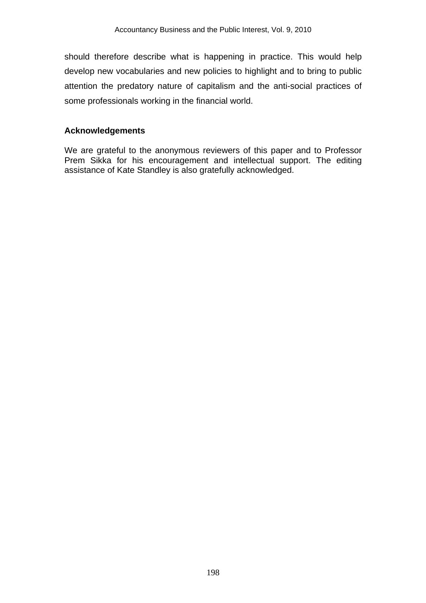should therefore describe what is happening in practice. This would help develop new vocabularies and new policies to highlight and to bring to public attention the predatory nature of capitalism and the anti-social practices of some professionals working in the financial world.

#### **Acknowledgements**

We are grateful to the anonymous reviewers of this paper and to Professor Prem Sikka for his encouragement and intellectual support. The editing assistance of Kate Standley is also gratefully acknowledged.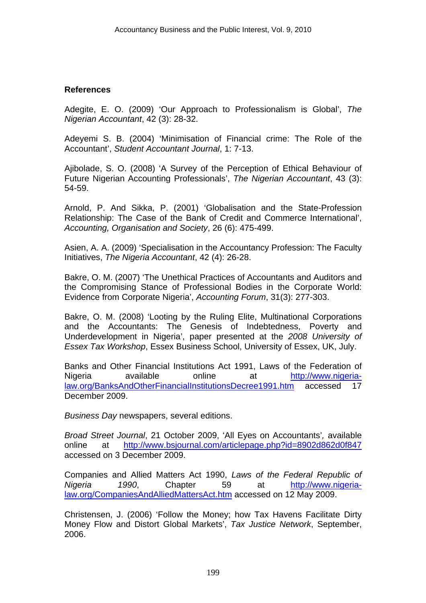#### **References**

Adegite, E. O. (2009) 'Our Approach to Professionalism is Global', *The Nigerian Accountant*, 42 (3): 28-32.

Adeyemi S. B. (2004) 'Minimisation of Financial crime: The Role of the Accountant', *Student Accountant Journal*, 1: 7-13.

Ajibolade, S. O. (2008) 'A Survey of the Perception of Ethical Behaviour of Future Nigerian Accounting Professionals', *The Nigerian Accountant*, 43 (3): 54-59.

Arnold, P. And Sikka, P. (2001) 'Globalisation and the State-Profession Relationship: The Case of the Bank of Credit and Commerce International', *Accounting, Organisation and Society*, 26 (6): 475-499.

Asien, A. A. (2009) 'Specialisation in the Accountancy Profession: The Faculty Initiatives, *The Nigeria Accountant*, 42 (4): 26-28.

Bakre, O. M. (2007) 'The Unethical Practices of Accountants and Auditors and the Compromising Stance of Professional Bodies in the Corporate World: Evidence from Corporate Nigeria', *Accounting Forum*, 31(3): 277-303.

Bakre, O. M. (2008) 'Looting by the Ruling Elite, Multinational Corporations and the Accountants: The Genesis of Indebtedness, Poverty and Underdevelopment in Nigeria', paper presented at the *2008 University of Essex Tax Workshop*, Essex Business School, University of Essex, UK, July.

Banks and Other Financial Institutions Act 1991, Laws of the Federation of Nigeria available online at http://www.nigerialaw.org/BanksAndOtherFinancialInstitutionsDecree1991.htm accessed 17 December 2009.

*Business Day* newspapers, several editions.

*Broad Street Journal*, 21 October 2009, 'All Eyes on Accountants'*,* available online at http://www.bsjournal.com/articlepage.php?id=8902d862d0f847 accessed on 3 December 2009.

Companies and Allied Matters Act 1990, *Laws of the Federal Republic of Nigeria 1990*, Chapter 59 at http://www.nigerialaw.org/CompaniesAndAlliedMattersAct.htm accessed on 12 May 2009.

Christensen, J. (2006) 'Follow the Money; how Tax Havens Facilitate Dirty Money Flow and Distort Global Markets', *Tax Justice Network*, September, 2006.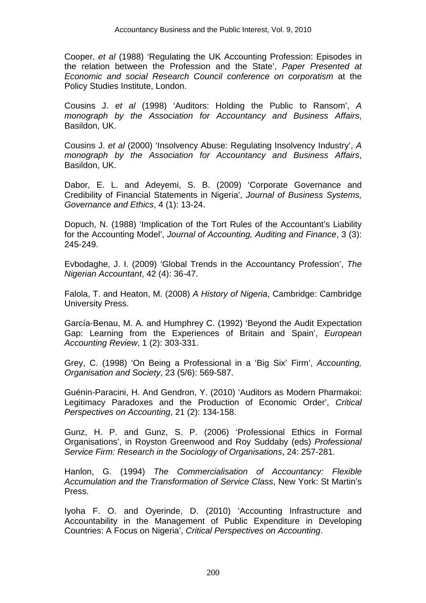Cooper, *et al* (1988) 'Regulating the UK Accounting Profession: Episodes in the relation between the Profession and the State', *Paper Presented at Economic and social Research Council conference on corporatism* at the Policy Studies Institute, London.

Cousins J. *et al* (1998) 'Auditors: Holding the Public to Ransom', *A monograph by the Association for Accountancy and Business Affairs*, Basildon, UK.

Cousins J. *et al* (2000) 'Insolvency Abuse: Regulating Insolvency Industry', *A monograph by the Association for Accountancy and Business Affairs*, Basildon, UK.

Dabor, E. L. and Adeyemi, S. B. (2009) 'Corporate Governance and Credibility of Financial Statements in Nigeria', *Journal of Business Systems, Governance and Ethics*, 4 (1): 13-24.

Dopuch, N. (1988) 'Implication of the Tort Rules of the Accountant's Liability for the Accounting Model', *Journal of Accounting, Auditing and Finance*, 3 (3): 245-249.

Evbodaghe, J. I. (2009) 'Global Trends in the Accountancy Profession', *The Nigerian Accountant*, 42 (4): 36-47.

Falola, T. and Heaton, M. (2008) *A History of Nigeria*, Cambridge: Cambridge University Press.

García-Benau, M. A. and Humphrey C. (1992) 'Beyond the Audit Expectation Gap: Learning from the Experiences of Britain and Spain', *European Accounting Review*, 1 (2): 303-331.

Grey, C. (1998) 'On Being a Professional in a 'Big Six' Firm', *Accounting, Organisation and Society*, 23 (5/6): 569-587.

Guénin-Paracini, H. And Gendron, Y. (2010) 'Auditors as Modern Pharmakoi: Legitimacy Paradoxes and the Production of Economic Order', *Critical Perspectives on Accounting*, 21 (2): 134-158.

Gunz, H. P. and Gunz, S. P. (2006) 'Professional Ethics in Formal Organisations', in Royston Greenwood and Roy Suddaby (eds) *Professional Service Firm: Research in the Sociology of Organisations*, 24: 257-281.

Hanlon, G. (1994) *The Commercialisation of Accountancy: Flexible Accumulation and the Transformation of Service Class*, New York: St Martin's Press.

Iyoha F. O. and Oyerinde, D. (2010) 'Accounting Infrastructure and Accountability in the Management of Public Expenditure in Developing Countries: A Focus on Nigeria', *Critical Perspectives on Accounting*.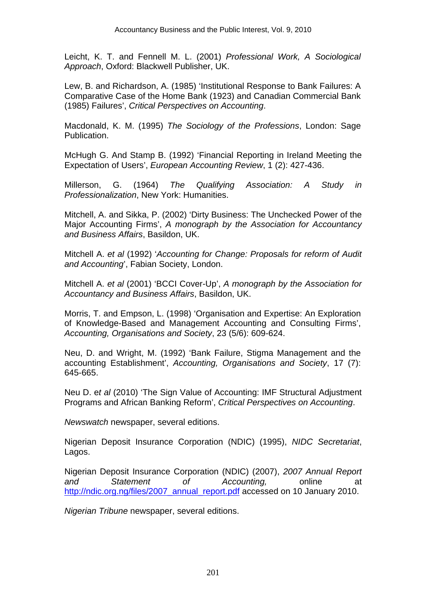Leicht, K. T. and Fennell M. L. (2001) *Professional Work, A Sociological Approach*, Oxford: Blackwell Publisher, UK.

Lew, B. and Richardson, A. (1985) 'Institutional Response to Bank Failures: A Comparative Case of the Home Bank (1923) and Canadian Commercial Bank (1985) Failures', *Critical Perspectives on Accounting*.

Macdonald, K. M. (1995) *The Sociology of the Professions*, London: Sage Publication.

McHugh G. And Stamp B. (1992) 'Financial Reporting in Ireland Meeting the Expectation of Users', *European Accounting Review*, 1 (2): 427-436.

Millerson, G. (1964) *The Qualifying Association: A Study in Professionalization*, New York: Humanities.

Mitchell, A. and Sikka, P. (2002) 'Dirty Business: The Unchecked Power of the Major Accounting Firms', *A monograph by the Association for Accountancy and Business Affairs*, Basildon, UK.

Mitchell A. *et al* (1992) '*Accounting for Change: Proposals for reform of Audit and Accounting*', Fabian Society, London.

Mitchell A. *et al* (2001) 'BCCI Cover-Up', *A monograph by the Association for Accountancy and Business Affairs*, Basildon, UK.

Morris, T. and Empson, L. (1998) 'Organisation and Expertise: An Exploration of Knowledge-Based and Management Accounting and Consulting Firms', *Accounting, Organisations and Society*, 23 (5/6): 609-624.

Neu, D. and Wright, M. (1992) 'Bank Failure, Stigma Management and the accounting Establishment', *Accounting, Organisations and Society*, 17 (7): 645-665.

Neu D. e*t al* (2010) 'The Sign Value of Accounting: IMF Structural Adjustment Programs and African Banking Reform', *Critical Perspectives on Accounting*.

*Newswatch* newspaper, several editions.

Nigerian Deposit Insurance Corporation (NDIC) (1995), *NIDC Secretariat*, Lagos.

Nigerian Deposit Insurance Corporation (NDIC) (2007), *2007 Annual Report and Statement of Accounting,* online at http://ndic.org.ng/files/2007\_annual\_report.pdf accessed on 10 January 2010.

*Nigerian Tribune* newspaper, several editions.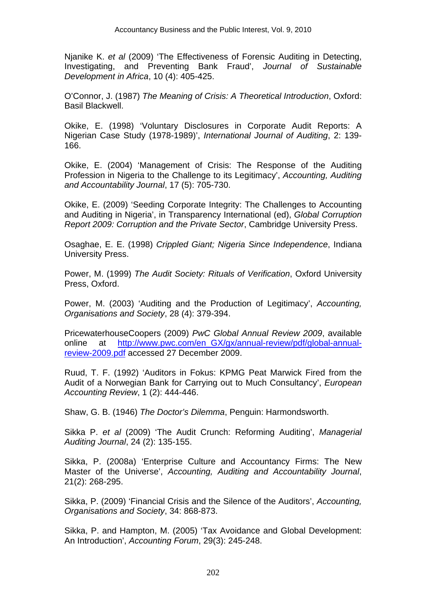Njanike K. *et al* (2009) 'The Effectiveness of Forensic Auditing in Detecting, Investigating, and Preventing Bank Fraud', *Journal of Sustainable Development in Africa*, 10 (4): 405-425.

O'Connor, J. (1987) *The Meaning of Crisis: A Theoretical Introduction*, Oxford: Basil Blackwell.

Okike, E. (1998) 'Voluntary Disclosures in Corporate Audit Reports: A Nigerian Case Study (1978-1989)', *International Journal of Auditing*, 2: 139- 166.

Okike, E. (2004) 'Management of Crisis: The Response of the Auditing Profession in Nigeria to the Challenge to its Legitimacy', *Accounting, Auditing and Accountability Journal*, 17 (5): 705-730.

Okike, E. (2009) 'Seeding Corporate Integrity: The Challenges to Accounting and Auditing in Nigeria', in Transparency International (ed), *Global Corruption Report 2009: Corruption and the Private Sector*, Cambridge University Press.

Osaghae, E. E. (1998) *Crippled Giant; Nigeria Since Independence*, Indiana University Press.

Power, M. (1999) *The Audit Society: Rituals of Verification*, Oxford University Press, Oxford.

Power, M. (2003) 'Auditing and the Production of Legitimacy', *Accounting, Organisations and Society*, 28 (4): 379-394.

PricewaterhouseCoopers (2009) *PwC Global Annual Review 2009*, available online at http://www.pwc.com/en\_GX/gx/annual-review/pdf/global-annualreview-2009.pdf accessed 27 December 2009.

Ruud, T. F. (1992) 'Auditors in Fokus: KPMG Peat Marwick Fired from the Audit of a Norwegian Bank for Carrying out to Much Consultancy', *European Accounting Review*, 1 (2): 444-446.

Shaw, G. B. (1946) *The Doctor's Dilemma*, Penguin: Harmondsworth.

Sikka P. *et al* (2009) 'The Audit Crunch: Reforming Auditing', *Managerial Auditing Journal*, 24 (2): 135-155.

Sikka, P. (2008a) 'Enterprise Culture and Accountancy Firms: The New Master of the Universe', *Accounting, Auditing and Accountability Journal*, 21(2): 268-295.

Sikka, P. (2009) 'Financial Crisis and the Silence of the Auditors', *Accounting, Organisations and Society*, 34: 868-873.

Sikka, P. and Hampton, M. (2005) 'Tax Avoidance and Global Development: An Introduction', *Accounting Forum*, 29(3): 245-248.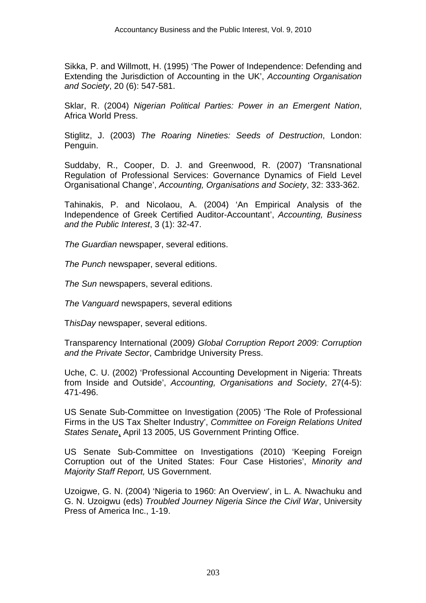Sikka, P. and Willmott, H. (1995) 'The Power of Independence: Defending and Extending the Jurisdiction of Accounting in the UK', *Accounting Organisation and Society*, 20 (6): 547-581.

Sklar, R. (2004) *Nigerian Political Parties: Power in an Emergent Nation*, Africa World Press.

Stiglitz, J. (2003) *The Roaring Nineties: Seeds of Destruction*, London: Penguin.

Suddaby, R., Cooper, D. J. and Greenwood, R. (2007) 'Transnational Regulation of Professional Services: Governance Dynamics of Field Level Organisational Change', *Accounting, Organisations and Society*, 32: 333-362.

Tahinakis, P. and Nicolaou, A. (2004) 'An Empirical Analysis of the Independence of Greek Certified Auditor-Accountant', *Accounting, Business and the Public Interest*, 3 (1): 32-47.

*The Guardian* newspaper, several editions.

*The Punch* newspaper, several editions.

*The Sun* newspapers, several editions.

*The Vanguard* newspapers, several editions

T*hisDay* newspaper, several editions.

Transparency International (2009*) Global Corruption Report 2009: Corruption and the Private Sector*, Cambridge University Press.

Uche, C. U. (2002) 'Professional Accounting Development in Nigeria: Threats from Inside and Outside', *Accounting, Organisations and Society*, 27(4-5): 471-496.

US Senate Sub-Committee on Investigation (2005) 'The Role of Professional Firms in the US Tax Shelter Industry', *Committee on Foreign Relations United States Senate*, April 13 2005, US Government Printing Office.

US Senate Sub-Committee on Investigations (2010) 'Keeping Foreign Corruption out of the United States: Four Case Histories', *Minority and Majority Staff Report,* US Government.

Uzoigwe, G. N. (2004) 'Nigeria to 1960: An Overview', in L. A. Nwachuku and G. N. Uzoigwu (eds) *Troubled Journey Nigeria Since the Civil War*, University Press of America Inc., 1-19.